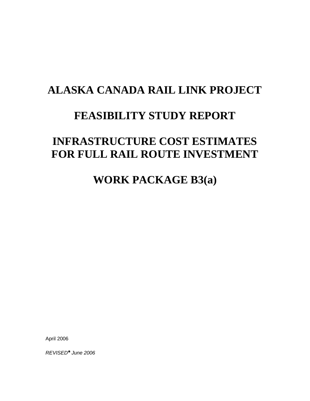# **ALASKA CANADA RAIL LINK PROJECT**

## **FEASIBILITY STUDY REPORT**

# **INFRASTRUCTURE COST ESTIMATES FOR FULL RAIL ROUTE INVESTMENT**

## **WORK PACKAGE B3(a)**

April 2006

*REVISED\* June 2006*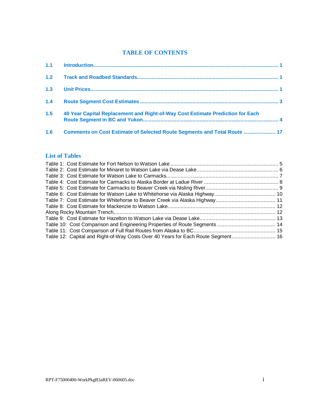#### **TABLE OF CONTENTS**

| 1.3 |                                                                                |  |
|-----|--------------------------------------------------------------------------------|--|
| 1.4 |                                                                                |  |
| 1.5 | 40 Year Capital Replacement and Right-of-Way Cost Estimate Prediction for Each |  |
| 1.6 | Comments on Cost Estimate of Selected Route Segments and Total Route  17       |  |

#### **List of Tables**

| Table 12: Capital and Right-of-Way Costs Over 40 Years for Each Route Segment 16 |  |
|----------------------------------------------------------------------------------|--|
|                                                                                  |  |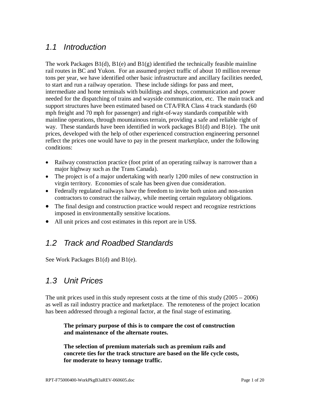## *1.1 Introduction*

The work Packages  $B1(d)$ ,  $B1(e)$  and  $B1(g)$  identified the technically feasible mainline rail routes in BC and Yukon. For an assumed project traffic of about 10 million revenue tons per year, we have identified other basic infrastructure and ancillary facilities needed, to start and run a railway operation. These include sidings for pass and meet, intermediate and home terminals with buildings and shops, communication and power needed for the dispatching of trains and wayside communication, etc. The main track and support structures have been estimated based on CTA/FRA Class 4 track standards (60 mph freight and 70 mph for passenger) and right-of-way standards compatible with mainline operations, through mountainous terrain, providing a safe and reliable right of way. These standards have been identified in work packages  $B1(d)$  and  $B1(e)$ . The unit prices, developed with the help of other experienced construction engineering personnel reflect the prices one would have to pay in the present marketplace, under the following conditions:

- Railway construction practice (foot print of an operating railway is narrower than a major highway such as the Trans Canada).
- $\bullet$  The project is of a major undertaking with nearly 1200 miles of new construction in virgin territory. Economies of scale has been given due consideration.
- Federally regulated railways have the freedom to invite both union and non-union contractors to construct the railway, while meeting certain regulatory obligations.
- The final design and construction practice would respect and recognize restrictions imposed in environmentally sensitive locations.
- All unit prices and cost estimates in this report are in US\$.

## *1.2 Track and Roadbed Standards*

See Work Packages B1(d) and B1(e).

## *1.3 Unit Prices*

The unit prices used in this study represent costs at the time of this study  $(2005 - 2006)$ as well as rail industry practice and marketplace. The remoteness of the project location has been addressed through a regional factor, at the final stage of estimating.

#### **The primary purpose of this is to compare the cost of construction and maintenance of the alternate routes.**

**The selection of premium materials such as premium rails and concrete ties for the track structure are based on the life cycle costs, for moderate to heavy tonnage traffic.**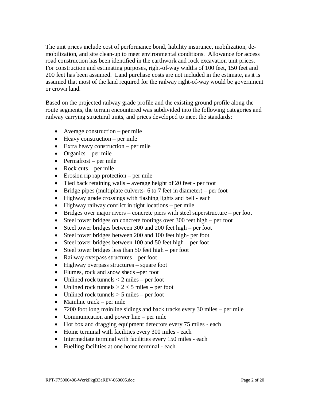The unit prices include cost of performance bond, liability insurance, mobilization, demobilization, and site clean-up to meet environmental conditions. Allowance for access road construction has been identified in the earthwork and rock excavation unit prices. For construction and estimating purposes, right-of-way widths of 100 feet, 150 feet and 200 feet has been assumed. Land purchase costs are not included in the estimate, as it is assumed that most of the land required for the railway right-of-way would be government or crown land.

Based on the projected railway grade profile and the existing ground profile along the route segments, the terrain encountered was subdivided into the following categories and railway carrying structural units, and prices developed to meet the standards:

- Average construction per mile
- $\bullet$  Heavy construction per mile
- $\bullet$  Extra heavy construction per mile
- Organics per mile
- $\bullet$  Permafrost per mile
- Rock cuts per mile
- $\bullet$  Erosion rip rap protection per mile
- $\bullet$  Tied back retaining walls average height of 20 feet per foot
- Bridge pipes (multiplate culverts- 6 to 7 feet in diameter) per foot
- Highway grade crossings with flashing lights and bell each
- $\bullet$  Highway railway conflict in tight locations per mile
- $\bullet$  Bridges over major rivers concrete piers with steel superstructure per foot
- $\bullet$  Steel tower bridges on concrete footings over 300 feet high per foot
- Steel tower bridges between 300 and 200 feet high per foot
- Steel tower bridges between 200 and 100 feet high- per foot
- Steel tower bridges between 100 and 50 feet high per foot
- Steel tower bridges less than 50 feet high per foot
- Railway overpass structures per foot
- $\bullet$  Highway overpass structures square foot
- Flumes, rock and snow sheds –per foot
- Unlined rock tunnels  $<$  2 miles per foot
- Unlined rock tunnels  $> 2 < 5$  miles per foot
- Unlined rock tunnels  $> 5$  miles per foot
- $\bullet$  Mainline track per mile
- $\bullet$  7200 foot long mainline sidings and back tracks every 30 miles per mile
- Communication and power line per mile
- Hot box and dragging equipment detectors every 75 miles each
- Home terminal with facilities every 300 miles each
- $\bullet$  Intermediate terminal with facilities every 150 miles each
- Fuelling facilities at one home terminal each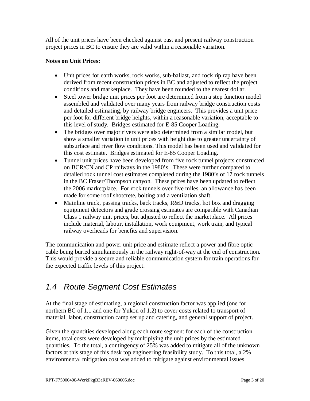All of the unit prices have been checked against past and present railway construction project prices in BC to ensure they are valid within a reasonable variation.

#### **Notes on Unit Prices:**

- Unit prices for earth works, rock works, sub-ballast, and rock rip rap have been derived from recent construction prices in BC and adjusted to reflect the project conditions and marketplace. They have been rounded to the nearest dollar.
- Steel tower bridge unit prices per foot are determined from a step function model assembled and validated over many years from railway bridge construction costs and detailed estimating, by railway bridge engineers. This provides a unit price per foot for different bridge heights, within a reasonable variation, acceptable to this level of study. Bridges estimated for E-85 Cooper Loading.
- The bridges over major rivers were also determined from a similar model, but show a smaller variation in unit prices with height due to greater uncertainty of subsurface and river flow conditions. This model has been used and validated for this cost estimate. Bridges estimated for E-85 Cooper Loading.
- Tunnel unit prices have been developed from five rock tunnel projects constructed on BCR/CN and CP railways in the 1980's. These were further compared to detailed rock tunnel cost estimates completed during the 1980's of 17 rock tunnels in the BC Fraser/Thompson canyon. These prices have been updated to reflect the 2006 marketplace. For rock tunnels over five miles, an allowance has been made for some roof shotcrete, bolting and a ventilation shaft.
- Mainline track, passing tracks, back tracks, R&D tracks, hot box and dragging equipment detectors and grade crossing estimates are compatible with Canadian Class 1 railway unit prices, but adjusted to reflect the marketplace. All prices include material, labour, installation, work equipment, work train, and typical railway overheads for benefits and supervision.

The communication and power unit price and estimate reflect a power and fibre optic cable being buried simultaneously in the railway right-of-way at the end of construction. This would provide a secure and reliable communication system for train operations for the expected traffic levels of this project.

## *1.4 Route Segment Cost Estimates*

At the final stage of estimating, a regional construction factor was applied (one for northern BC of 1.1 and one for Yukon of 1.2) to cover costs related to transport of material, labor, construction camp set up and catering, and general support of project.

Given the quantities developed along each route segment for each of the construction items, total costs were developed by multiplying the unit prices by the estimated quantities. To the total, a contingency of 25% was added to mitigate all of the unknown factors at this stage of this desk top engineering feasibility study. To this total, a 2% environmental mitigation cost was added to mitigate against environmental issues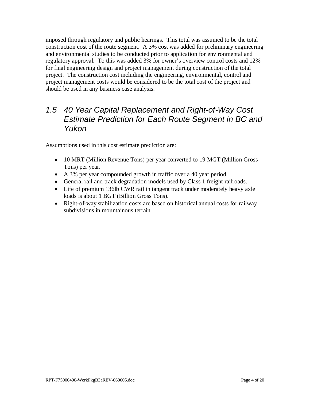imposed through regulatory and public hearings. This total was assumed to be the total construction cost of the route segment. A 3% cost was added for preliminary engineering and environmental studies to be conducted prior to application for environmental and regulatory approval. To this was added 3% for owner's overview control costs and 12% for final engineering design and project management during construction of the total project. The construction cost including the engineering, environmental, control and project management costs would be considered to be the total cost of the project and should be used in any business case analysis.

## *1.5 40 Year Capital Replacement and Right-of-Way Cost Estimate Prediction for Each Route Segment in BC and Yukon*

Assumptions used in this cost estimate prediction are:

- 10 MRT (Million Revenue Tons) per year converted to 19 MGT (Million Gross) Tons) per year.
- A 3% per year compounded growth in traffic over a 40 year period.
- General rail and track degradation models used by Class 1 freight railroads.
- Life of premium 136lb CWR rail in tangent track under moderately heavy axle loads is about 1 BGT (Billion Gross Tons).
- Right-of-way stabilization costs are based on historical annual costs for railway subdivisions in mountainous terrain.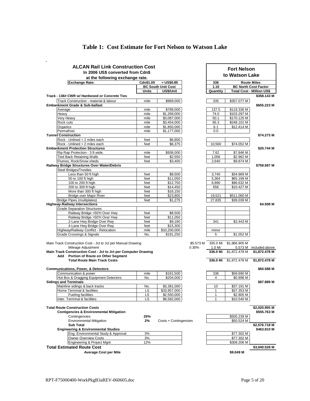### **Table 1: Cost Estimate for Fort Nelson to Watson Lake**

| <b>ALCAN Rail Link Construction Cost</b><br>In 2006 US\$ converted from Cdn\$ | <b>Fort Nelson</b> |                                          |                |                    |                            |                                  |
|-------------------------------------------------------------------------------|--------------------|------------------------------------------|----------------|--------------------|----------------------------|----------------------------------|
| at the following exchange rate.                                               |                    |                                          | to Watson Lake |                    |                            |                                  |
| <b>Exchange Rate:</b>                                                         |                    | 336                                      |                | <b>Route Miles</b> |                            |                                  |
|                                                                               | Cdn\$1.00          | $= US$0.85$<br><b>BC South Unit Cost</b> |                | 1.10               |                            | <b>BC North Cost Factor</b>      |
|                                                                               | <b>Units</b>       | US\$/Unit                                |                | Quantity           |                            | <b>Total Cost - Million US\$</b> |
| Track - 136# CWR w/ Hardwood or Concrete Ties                                 |                    |                                          |                |                    |                            | \$358.143 M                      |
| Track Construction - material & labour                                        | mile               | \$969,000                                |                | 335                | \$357.077 M                |                                  |
| Embankment Grade & Sub-ballast                                                |                    |                                          |                |                    |                            | \$655.223 M                      |
| Average                                                                       | mile               | \$789,000                                |                | 137.5              | \$119.336 M                |                                  |
| Heavy<br>Very Heavy                                                           | mile<br>mile       | \$1,269,000<br>\$3,087,000               |                | 74.0<br>50.1       | \$103.297 M<br>\$170.125 M |                                  |
| Rock cuts                                                                     | mile               | \$3,454,000                              |                | 65.3               | \$248.101 M                |                                  |
| Organics                                                                      | mile               | \$1,850,000                              |                | 6.1                | \$12.414 M                 |                                  |
| Permafrost                                                                    | mile               | \$1,177,000                              |                | 0.0                |                            |                                  |
| <b>Tunnel Construction</b>                                                    |                    |                                          |                |                    |                            | \$74.273 M                       |
| Rock - Unlined < 2 miles each                                                 | feet               | \$6,800                                  |                |                    |                            |                                  |
| Rock - Unlined > 2 miles each                                                 | feet               | \$6,375                                  |                | 10,560             | \$74.052 M                 |                                  |
| <b>Embankment Protection Structures</b>                                       |                    |                                          |                |                    |                            | \$20.744 M                       |
| Rip Rap Protection - 3 ft wide.<br><b>Tied Back Retaining Walls</b>           | mile<br>feet       | \$936,000<br>\$2,550                     |                | 7.62<br>1.056      | \$7.846 M<br>\$2.962 M     |                                  |
| Flumes, Rock/Snow sheds                                                       | feet               | \$3,400                                  |                | 2,640              | \$9.874 M                  |                                  |
| Railway Bridge Structures Over Water/Debris                                   |                    |                                          |                |                    |                            | \$759.587 M                      |
| <b>Steel Bridges/Trestles</b>                                                 |                    |                                          |                |                    |                            |                                  |
| Less than 50 ft high                                                          | feet               | \$8,500                                  |                | 3,740              | \$34.969 M                 |                                  |
| 50 to 100 ft high                                                             | feet               | \$11,050                                 |                | 5,364              | \$65.199 M                 |                                  |
| 100 to 200 ft high                                                            | feet               | \$12.750                                 |                | 6,890              | \$96.632 M                 |                                  |
| 200 to 300 ft high                                                            | feet               | \$14,450                                 |                | 656                | \$10.427 M                 |                                  |
| More than 300 ft high<br>Bridge over Major River                              | feet<br>feet       | \$16,150<br>\$23,800                     |                | 19.521             | \$511.060 M                |                                  |
| Bridge Pipes (multiplates)                                                    | feet               | \$1,275                                  |                | 27,835             | \$39.039 M                 |                                  |
| <b>Highway-Railway Intersections</b>                                          |                    |                                          |                |                    |                            | \$4.508 M                        |
| <b>Grade Separation Structures</b>                                            |                    |                                          |                |                    |                            |                                  |
| Railway Bridge <50'H Over Hwy                                                 | feet               | \$8,500                                  |                |                    |                            |                                  |
| Railway Bridge >50'H Over Hwy                                                 | feet               | \$11,050                                 |                |                    |                            |                                  |
| 2-Lane Hwy Bridge Over Rwy                                                    | feet               | \$9,180                                  |                | 341                | \$3.443 M                  |                                  |
| 4-Lane Hwy Bridge Over Rwy<br>Highway/Railway Conflict - Relocation           | feet<br>mile       | \$15,300<br>\$10,200,000                 |                | minor              |                            |                                  |
| <b>Grade Crossings &amp; Signals</b>                                          | No.                | \$191,250                                |                | 5                  | \$1.052 M                  |                                  |
|                                                                               |                    |                                          |                |                    |                            |                                  |
| Main Track Construction Cost - Jct to Jct per Manual Drawing                  |                    |                                          | \$5.573 M      | 335.0 Mi           | \$1,866.905 M              |                                  |
| Mileage Adjustment                                                            |                    |                                          | 0.30%          | 1.0 Mi             |                            | 5.573 M included above           |
| Main Track Construction Cost - Jct to Jct per Computer Drawing                |                    |                                          |                | 336.0 Mi           | \$1,872.478 M              | \$1,872.478 M                    |
| Add Portion of Route on Other Segment<br><b>Total Route Main Track Costs</b>  |                    |                                          |                | 336.0 Mi           | \$1,872.478 M              | \$1,872.478 M                    |
|                                                                               |                    |                                          |                |                    |                            |                                  |
| <b>Communications, Power, &amp; Detectors</b>                                 |                    |                                          |                |                    |                            | \$60.588 M                       |
| Communication & power                                                         | mile               | \$161,500                                |                | 336                | \$59.690 M                 |                                  |
| Hot Box & Dragging Equipment Detectors                                        | No.                | \$204,000                                |                | 4                  | \$0.898 M                  |                                  |
| <b>Sidings and Terminals</b>                                                  |                    |                                          |                |                    |                            | \$87.889 M                       |
| Mainline sidings & back tracks<br>Home Terminal & facilities                  | No.<br>LS          | \$3,381,000<br>\$33,957,000              |                | 10<br>1            | \$37.191 M<br>\$37.353 M   |                                  |
| <b>Fueling facilities</b>                                                     | LS                 | \$2,550,000                              |                | 1                  | \$2.805 M                  |                                  |
| Inter. Terminal & facilities                                                  | LS                 | \$9,582,000                              |                | $\mathbf{1}$       | \$10.540 M                 |                                  |
|                                                                               |                    |                                          |                |                    |                            |                                  |
| <b>Total Route Construction Costs</b>                                         |                    |                                          |                |                    |                            | \$2,020.955 M                    |
| <b>Contigencies &amp; Environmental Mitigation</b>                            |                    |                                          |                |                    |                            | \$555.763 M                      |
| Contingencies                                                                 | 25%                |                                          |                |                    | \$505.239 M                |                                  |
| <b>Environmental Mitigation</b><br><b>Sub Total</b>                           | 2%                 | Costs + Contingencies                    |                |                    | \$50.524 M                 | \$2,576.718 M                    |
| <b>Engineering &amp; Environmental Studies</b>                                |                    |                                          |                |                    |                            | \$463.810 M                      |
| Eng. Environmental Study & Approval                                           | 3%                 |                                          |                |                    | \$77.302 M                 |                                  |
| <b>Owner Overview Costs</b>                                                   | 3%                 |                                          |                |                    | \$77.302 M                 |                                  |
| Engineering & Project Mgnt                                                    | 12%                |                                          |                |                    | \$309.206 M                |                                  |
| <b>Total Estimated Route Cost</b>                                             |                    |                                          |                |                    |                            | \$3,040.528 M                    |
| <b>Average Cost per Mile</b>                                                  |                    |                                          |                |                    | \$9.049 M                  |                                  |
|                                                                               |                    |                                          |                |                    |                            |                                  |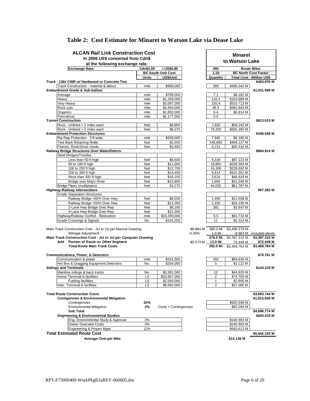| <b>ALCAN Rail Link Construction Cost</b>                                                                |              | <b>Minaret</b>                           |           |                     |                            |                                                   |
|---------------------------------------------------------------------------------------------------------|--------------|------------------------------------------|-----------|---------------------|----------------------------|---------------------------------------------------|
| In 2006 US\$ converted from Cdn\$                                                                       |              |                                          |           | to Watson Lake      |                            |                                                   |
| at the following exchange rate.                                                                         |              |                                          |           |                     |                            |                                                   |
| <b>Exchange Rate:</b>                                                                                   | Cdn\$1.00    | $= US$0.85$<br><b>BC South Unit Cost</b> |           | 392<br>1.10         |                            | <b>Route Miles</b><br><b>BC North Cost Factor</b> |
|                                                                                                         | <b>Units</b> | US\$/Unit                                |           | Quantity            |                            | <b>Total Cost - Million US\$</b>                  |
| Track - 136# CWR w/ Hardwood or Concrete Ties                                                           |              |                                          |           |                     |                            | \$403.976 M                                       |
| Track Construction - material & labour                                                                  | mile         | \$969,000                                |           | 380                 | \$405.042 M                |                                                   |
| Embankment Grade & Sub-ballast                                                                          |              |                                          |           |                     |                            | \$1,031.499 M                                     |
| Average                                                                                                 | mile         | \$789,000                                |           | 7.1                 | \$6.162 M                  |                                                   |
| Heavy                                                                                                   | mile         | \$1,269,000                              |           | 110.1               | \$153.689 M                |                                                   |
| Very Heavy                                                                                              | mile         | \$3,087,000                              |           | 150.4               | \$510.713 M                |                                                   |
| Rock cuts                                                                                               | mile         | \$3,454,000                              |           | 95.5                | \$362.843 M                |                                                   |
| Organics                                                                                                | mile         | \$1,850,000                              |           | 0.4                 | \$0.814 M                  |                                                   |
| Permafrost                                                                                              | mile         | \$1,177,000                              |           | 0.0                 |                            |                                                   |
| <b>Tunnel Construction</b>                                                                              |              |                                          |           |                     |                            | \$613.015 M                                       |
| Rock - Unlined < 2 miles each                                                                           | feet         | \$6,800                                  |           | 7,920               | \$59.242 M                 |                                                   |
| Rock - Unlined > 2 miles each                                                                           | feet         | \$6,375                                  |           | 79,200              | \$555.390 M                |                                                   |
| <b>Embankment Protection Structures</b>                                                                 |              |                                          |           |                     |                            | \$446.549 M                                       |
| Rip Rap Protection - 3 ft wide.                                                                         | mile         | \$936,000                                |           | 7.945               | \$8.180 M                  |                                                   |
| <b>Tied Back Retaining Walls</b>                                                                        | feet         | \$2,550                                  |           | 145,860             | \$409.137 M                |                                                   |
| Flumes, Rock/Snow sheds                                                                                 | feet         | \$3,400                                  |           | 8,131               | \$30.410 M                 |                                                   |
| Railway Bridge Structures Over Water/Debris<br><b>Steel Bridges/Trestles</b>                            |              |                                          |           |                     |                            | \$804.914 M                                       |
| Less than 50 ft high                                                                                    | feet         | \$8,500                                  |           | 9,318               | \$87.123 M                 |                                                   |
| 50 to 100 ft high                                                                                       | feet         | \$11,050                                 |           | 18,865              | \$229.304 M                |                                                   |
| 100 to 200 ft high                                                                                      | feet         | \$12,750                                 |           | 16,306              | \$228.692 M                |                                                   |
| 200 to 300 ft high                                                                                      | feet         | \$14,450                                 |           | 6.414               | \$101.951 M                |                                                   |
| More than 300 ft high                                                                                   | feet         | \$16,150                                 |           | 2,625               | \$46.633 M                 |                                                   |
| <b>Bridge over Major River</b>                                                                          | feet         | \$23,800                                 |           | 1,969               | \$51.548 M                 |                                                   |
| <b>Bridge Pipes (multiplates)</b>                                                                       | feet         | \$1,275                                  |           | 44,055              | \$61.787 M                 |                                                   |
| <b>Highway-Railway Intersections</b>                                                                    |              |                                          |           |                     |                            | \$97.362 M                                        |
| <b>Grade Separation Structures</b>                                                                      |              |                                          |           |                     |                            |                                                   |
| Railway Bridge <50'H Over Hwy                                                                           | feet         | \$8,500                                  |           | 1,450               | \$13.558 M                 |                                                   |
| Railway Bridge >50'H Over Hwy                                                                           | feet         | \$11,050                                 |           | 1,332               | \$16.190 M                 |                                                   |
| 2-Lane Hwy Bridge Over Rwy                                                                              | feet         | \$9,180                                  |           | 381                 | \$3.847 M                  |                                                   |
| 4-Lane Hwy Bridge Over Rwy                                                                              | feet         | \$15,300                                 |           |                     |                            |                                                   |
| Highway/Railway Conflict - Relocation                                                                   | mile         | \$10,200,000                             |           | 5.5                 | \$61.710 M                 |                                                   |
| Grade Crossings & Signals                                                                               | No.          | \$191,250                                |           | 11                  | \$2.314 M                  |                                                   |
|                                                                                                         |              |                                          |           |                     |                            |                                                   |
| Main Track Construction Cost - Jct to Jct per Manual Drawing                                            |              |                                          | \$8.964 M | 380.0 Mi            | \$3,406.279 M              |                                                   |
| Mileage Adjustment                                                                                      |              |                                          | $-0.26%$  | $-1.0$ Mi           |                            | -8.964 M included above                           |
| Main Track Construction Cost - Jct to Jct per Computer Drawing<br>Add Portion of Route on Other Segment |              |                                          | \$5.573 M | 379.0 Mi            | \$3,397.315 M              | \$3,397.315 M                                     |
| <b>Total Route Main Track Costs</b>                                                                     |              |                                          |           | 13.0 Mi<br>392.0 Mi | 72.449 M<br>\$3,469.764 M  | \$72.449 M<br>\$3,469.764 M                       |
|                                                                                                         |              |                                          |           |                     |                            |                                                   |
| <b>Communications, Power, &amp; Detectors</b>                                                           |              |                                          |           |                     |                            | \$70.761 M                                        |
| Communication & power                                                                                   | mile         | \$161,500                                |           | 392                 | \$69.639 M                 |                                                   |
| Hot Box & Dragging Equipment Detectors                                                                  | No.          | \$204,000                                |           | 5                   | \$1.122 M                  |                                                   |
| <b>Sidings and Terminals</b>                                                                            |              |                                          |           |                     |                            | \$143,219 M                                       |
| Mainline sidings & back tracks                                                                          | No.          | \$3,381,000                              |           | 12                  | \$44.629 M                 |                                                   |
| Home Terminal & facilities                                                                              | LS           | \$33,957,000                             |           | 2                   | \$74.705 M                 |                                                   |
| <b>Fueling facilities</b>                                                                               | LS           | \$2,550,000                              |           | 1                   | \$2.805 M                  |                                                   |
| Inter. Terminal & facilities                                                                            | LS           | \$9,582,000                              |           | $\overline{2}$      | \$21.080 M                 |                                                   |
|                                                                                                         |              |                                          |           |                     |                            |                                                   |
| <b>Total Route Construction Costs</b>                                                                   |              |                                          |           |                     |                            | \$3,683.744 M                                     |
| <b>Contigencies &amp; Environmental Mitigation</b>                                                      |              |                                          |           |                     |                            | \$1,013.030 M                                     |
| Contingencies                                                                                           | 25%          |                                          |           |                     | \$920.936 M                |                                                   |
| <b>Environmental Mitigation</b>                                                                         | 2%           | Costs + Contingencies                    |           |                     | \$92.094 M                 |                                                   |
| <b>Sub Total</b>                                                                                        |              |                                          |           |                     |                            | \$4,696.774 M                                     |
| <b>Engineering &amp; Environmental Studies</b>                                                          |              |                                          |           |                     |                            | \$845.419 M                                       |
| Eng. Environmental Study & Approval                                                                     | 3%           |                                          |           |                     | \$140.903 M                |                                                   |
| <b>Owner Overview Costs</b><br>Engineering & Project Mgnt                                               | 3%<br>12%    |                                          |           |                     | \$140.903 M<br>\$563.613 M |                                                   |
| <b>Total Estimated Route Cost</b>                                                                       |              |                                          |           |                     |                            |                                                   |
|                                                                                                         |              |                                          |           |                     |                            | \$5,542.193 M                                     |
| <b>Average Cost per Mile</b>                                                                            |              |                                          |           |                     | \$14.138 M                 |                                                   |

#### **Table 2: Cost Estimate for Minaret to Watson Lake via Dease Lake**

included above  $$3,397.315 M$ <br> $$72.449 M$ 

**Total Route Construction Costs \$3,683.744 M Contigencies & Environmental Mitigation \$1,013.030 M**

**Sub Total \$4,696.774 M**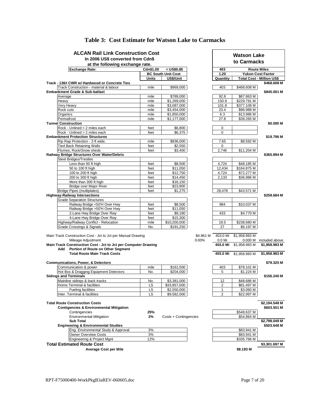| <b>ALCAN Rail Link Construction Cost</b>                                             |              | <b>Watson Lake</b>        |           |                    |                        |                                                 |
|--------------------------------------------------------------------------------------|--------------|---------------------------|-----------|--------------------|------------------------|-------------------------------------------------|
| In 2006 US\$ converted from Cdn\$                                                    |              | to Carmacks               |           |                    |                        |                                                 |
| at the following exchange rate.                                                      |              |                           |           |                    |                        |                                                 |
| <b>Exchange Rate:</b>                                                                | Cdn\$1.00    | $= US$0.85$               |           | 403                |                        | <b>Route Miles</b>                              |
|                                                                                      |              | <b>BC South Unit Cost</b> |           | 1.20               |                        | <b>Yukon Cost Factor</b>                        |
| Track - 136# CWR w/ Hardwood or Concrete Ties                                        | Units        | US\$/Unit                 |           | Quantity           |                        | <b>Total Cost - Million US\$</b><br>\$468.608 M |
| Track Construction - material & labour                                               | mile         | \$969,000                 |           | 403                | \$468.608 M            |                                                 |
| Embankment Grade & Sub-ballast                                                       |              |                           |           |                    |                        | \$845.001 M                                     |
| Average                                                                              | mile         | \$789,000                 |           | 92.8               | \$87.863 M             |                                                 |
| Heavy                                                                                | mile         | \$1,269,000               |           | 150.9              | \$229.791 M            |                                                 |
| Very Heavy                                                                           | mile         | \$3,087,000               |           | 101.8              | \$377.108 M            |                                                 |
| Rock cuts                                                                            | mile         | \$3,454,000               |           | 23.4               | \$96.988 M             |                                                 |
| Organics                                                                             | mile         | \$1,850,000               |           | 6.3                | \$13.986 M             |                                                 |
| Permafrost<br><b>Tunnel Construction</b>                                             | mile         | \$1,177,000               |           | 27.8               | \$39.265 M             |                                                 |
| Rock - Unlined < 2 miles each                                                        | feet         | \$6,800                   |           | 0                  |                        | \$0.000 M                                       |
| Rock - Unlined > 2 miles each                                                        | feet         | \$6,375                   |           | $\mathbf 0$        |                        |                                                 |
| <b>Embankment Protection Structures</b>                                              |              |                           |           |                    |                        | \$19.796 M                                      |
| Rip Rap Protection - 3 ft wide.                                                      | mile         | \$936,000                 |           | 7.65               | \$8.592 M              |                                                 |
| <b>Tied Back Retaining Walls</b>                                                     | feet         | \$2,550                   |           | 0                  |                        |                                                 |
| Flumes, Rock/Snow sheds                                                              | feet         | \$3,400                   |           | 2,746              | \$11.204 M             |                                                 |
| Railway Bridge Structures Over Water/Debris                                          |              |                           |           |                    |                        | \$365.894 M                                     |
| <b>Steel Bridges/Trestles</b>                                                        |              |                           |           |                    |                        |                                                 |
| Less than 50 ft high                                                                 | feet         | \$8,500                   |           | 4.724              | \$48.185 M             |                                                 |
| 50 to 100 ft high                                                                    | feet         | \$11,050                  |           | 12,434             | \$164.875 M            |                                                 |
| 100 to 200 ft high                                                                   | feet         | \$12,750                  |           | 4,724              | \$72.277 M             |                                                 |
| 200 to 300 ft high                                                                   | feet         | \$14,450                  |           | 2,133              | \$36.986 M             |                                                 |
| More than 300 ft high                                                                | feet         | \$16,150                  |           |                    |                        |                                                 |
| Bridge over Major River<br>Bridge Pipes (multiplates)                                | feet<br>feet | \$23,800<br>\$1,275       |           | 28,478             | \$43.571 M             |                                                 |
| <b>Highway-Railway Intersections</b>                                                 |              |                           |           |                    |                        | \$259.684 M                                     |
| <b>Grade Separation Structures</b>                                                   |              |                           |           |                    |                        |                                                 |
| Railway Bridge <50'H Over Hwy                                                        | feet         | \$8,500                   |           | 984                | \$10.037 M             |                                                 |
| Railway Bridge >50'H Over Hwy                                                        | feet         | \$11,050                  |           |                    |                        |                                                 |
| 2-Lane Hwy Bridge Over Rwy                                                           | feet         | \$9,180                   |           | 433                | \$4.770 M              |                                                 |
| 4-Lane Hwy Bridge Over Rwy                                                           | feet         | \$15,300                  |           |                    |                        |                                                 |
| Highway/Railway Conflict - Relocation                                                | mile         | \$10,200,000              |           | 19.5               | \$238.680 M            |                                                 |
| Grade Crossings & Signals                                                            | No.          | \$191,250                 |           | 27                 | \$6.197 M              |                                                 |
|                                                                                      |              |                           |           |                    |                        |                                                 |
| Main Track Construction Cost - Jct to Jct per Manual Drawing                         |              |                           | \$4.861 M | 403.0 Mi           | \$1,958.983 M          |                                                 |
| Mileage Adjustment<br>Main Track Construction Cost - Jct to Jct per Computer Drawing |              |                           | 0.00%     | 0.0 Mi<br>403.0 Mi | \$1,958.983 M          | 0.000 M included above<br>\$1,958.983 M         |
| Add Portion of Route on Other Segment                                                |              |                           |           |                    |                        |                                                 |
| <b>Total Route Main Track Costs</b>                                                  |              |                           |           |                    | 403.0 Mi \$1,958.983 M | \$1,958.983 M                                   |
|                                                                                      |              |                           |           |                    |                        |                                                 |
| <b>Communications, Power, &amp; Detectors</b>                                        |              |                           |           |                    |                        | \$79.325 M                                      |
| Communication & power                                                                | mile         | \$161,500                 |           | 403                | \$78.101 M             |                                                 |
| Hot Box & Dragging Equipment Detectors                                               | No.          | \$204,000                 |           | 5                  | \$1.224 M              |                                                 |
| <b>Sidinas and Terminals</b>                                                         |              |                           |           |                    |                        | \$156,240 M                                     |
| Mainline sidings & back tracks                                                       | No.          | \$3,381,000               |           | 12                 | \$48.686 M             |                                                 |
| Home Terminal & facilities                                                           | LS           | \$33,957,000              |           | $\overline{2}$     | \$81.497 M             |                                                 |
| <b>Fueling facilities</b>                                                            | LS           | \$2,550,000               |           | 1                  | \$3.060 M              |                                                 |
| Inter. Terminal & facilities                                                         | LS           | \$9,582,000               |           | $\overline{2}$     | \$22.997 M             |                                                 |
| <b>Total Route Construction Costs</b>                                                |              |                           |           |                    |                        | \$2,194.548 M                                   |
| <b>Contigencies &amp; Environmental Mitigation</b>                                   |              |                           |           |                    |                        | \$603.501 M                                     |
| Contingencies                                                                        | 25%          |                           |           |                    | \$548.637 M            |                                                 |
| <b>Environmental Mitigation</b>                                                      | 2%           | Costs + Contingencies     |           |                    | \$54.864 M             |                                                 |
| <b>Sub Total</b>                                                                     |              |                           |           |                    |                        | \$2,798.049 M                                   |
| <b>Engineering &amp; Environmental Studies</b>                                       |              |                           |           |                    |                        | \$503.648 M                                     |
| Eng. Environmental Study & Approval                                                  | 3%           |                           |           |                    | \$83.941 M             |                                                 |
| <b>Owner Overview Costs</b>                                                          | 3%           |                           |           |                    | \$83.941 M             |                                                 |
| Engineering & Project Mgnt                                                           | 12%          |                           |           |                    | \$335.766 M            |                                                 |
| <b>Total Estimated Route Cost</b>                                                    |              |                           |           |                    |                        | \$3,301.697 M                                   |
| <b>Average Cost per Mile</b>                                                         |              |                           |           |                    | \$8.193 M              |                                                 |

#### **Table 3: Cost Estimate for Watson Lake to Carmacks**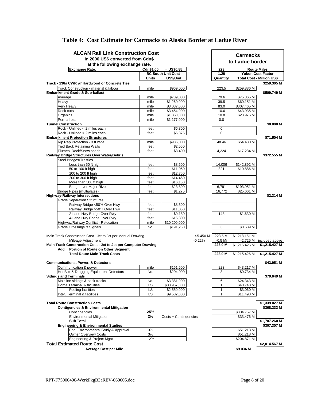| <b>ALCAN Rail Link Construction Cost</b>                            |              | <b>Carmacks</b>           |           |              |               |                                                 |
|---------------------------------------------------------------------|--------------|---------------------------|-----------|--------------|---------------|-------------------------------------------------|
| In 2006 US\$ converted from Cdn\$                                   |              | to Ladue border           |           |              |               |                                                 |
| at the following exchange rate.                                     |              |                           |           |              |               |                                                 |
| <b>Exchange Rate:</b>                                               | Cdn\$1.00    | $= US$0.85$               |           | 223          |               | <b>Route Miles</b>                              |
|                                                                     |              | <b>BC South Unit Cost</b> |           | 1.20         |               | <b>Yukon Cost Factor</b>                        |
| Track - 136# CWR w/ Hardwood or Concrete Ties                       | Units        | US\$/Unit                 |           | Quantity     |               | <b>Total Cost - Million US\$</b><br>\$259.305 M |
| Track Construction - material & labour                              | mile         | \$969,000                 |           | 223.5        | \$259.886 M   |                                                 |
| Embankment Grade & Sub-ballast                                      |              |                           |           |              |               | \$509.749 M                                     |
| Average                                                             | mile         | \$789,000                 |           | 79.6         | \$75.365 M    |                                                 |
| Heavy                                                               | mile         | \$1,269,000               |           | 39.5         | \$60.151 M    |                                                 |
| Very Heavy                                                          | mile         | \$3,087,000               |           | 83.0         | \$307.465 M   |                                                 |
| Rock cuts                                                           | mile         | \$3,454,000               |           | 10.6         | \$43.935 M    |                                                 |
| Organics                                                            | mile         | \$1,850,000               |           | 10.8         | \$23.976 M    |                                                 |
| Permafrost                                                          | mile         | \$1,177,000               |           | 0.0          |               |                                                 |
| <b>Tunnel Construction</b>                                          |              |                           |           |              |               | \$0.000 M                                       |
| Rock - Unlined < 2 miles each                                       | feet         | \$6,800                   |           | 0            |               |                                                 |
| Rock - Unlined > 2 miles each                                       | feet         | \$6,375                   |           | 0            |               |                                                 |
| <b>Embankment Protection Structures</b>                             |              |                           |           |              |               | \$71.504 M                                      |
| Rip Rap Protection - 3 ft wide.<br><b>Tied Back Retaining Walls</b> | mile<br>feet | \$936,000<br>\$2,550      |           | 48.46        | \$54.430 M    |                                                 |
| Flumes, Rock/Snow sheds                                             | feet         | \$3,400                   |           | 4,224        | \$17.234 M    |                                                 |
| Railway Bridge Structures Over Water/Debris                         |              |                           |           |              |               | \$372.555 M                                     |
| <b>Steel Bridges/Trestles</b>                                       |              |                           |           |              |               |                                                 |
| Less than 50 ft high                                                | feet         | \$8,500                   |           | 14,009       | \$142.892 M   |                                                 |
| 50 to 100 ft high                                                   | feet         | \$11,050                  |           | 821          | \$10.886 M    |                                                 |
| 100 to 200 ft high                                                  | feet         | \$12,750                  |           |              |               |                                                 |
| 200 to 300 ft high                                                  | feet         | \$14,450                  |           |              |               |                                                 |
| More than 300 ft high                                               | feet         | \$16,150                  |           |              |               |                                                 |
| <b>Bridge over Major River</b>                                      | feet         | \$23,800                  |           | 6,791        | \$193.951 M   |                                                 |
| Bridge Pipes (multiplates)                                          | feet         | \$1,275                   |           | 16,772       | \$25.661 M    |                                                 |
| <b>Highway-Railway Intersections</b>                                |              |                           |           |              |               | \$2.314 M                                       |
| <b>Grade Separation Structures</b>                                  |              |                           |           |              |               |                                                 |
| Railway Bridge <50'H Over Hwy                                       | feet         | \$8,500                   |           |              |               |                                                 |
| Railway Bridge >50'H Over Hwy<br>2-Lane Hwy Bridge Over Rwy         | feet<br>feet | \$11,050<br>\$9,180       |           | 148          | \$1.630 M     |                                                 |
| 4-Lane Hwy Bridge Over Rwy                                          | feet         | \$15,300                  |           |              |               |                                                 |
| Highway/Railway Conflict - Relocation                               | mile         | \$10,200,000              |           |              |               |                                                 |
| Grade Crossings & Signals                                           | No.          | \$191,250                 |           | 3            | \$0.689 M     |                                                 |
|                                                                     |              |                           |           |              |               |                                                 |
| Main Track Construction Cost - Jct to Jct per Manual Drawing        |              |                           | \$5.450 M | 223.5 Mi     | \$1,218.151 M |                                                 |
| Mileage Adjustment                                                  |              |                           | $-0.22%$  | $-0.5$ Mi    |               | -2.725 M included above                         |
| Main Track Construction Cost - Jct to Jct per Computer Drawing      |              |                           |           | 223.0 Mi     | \$1,215.426 M | \$1,215.427 M                                   |
| Add Portion of Route on Other Segment                               |              |                           |           |              |               |                                                 |
| <b>Total Route Main Track Costs</b>                                 |              |                           |           | 223.0 Mi     | \$1.215.426 M | \$1,215.427 M                                   |
|                                                                     |              |                           |           |              |               |                                                 |
| <b>Communications, Power, &amp; Detectors</b>                       |              |                           |           |              |               | \$43.951 M                                      |
| Communication & power                                               | mile         | \$161,500                 |           | 223          | \$43.217 M    |                                                 |
| Hot Box & Dragging Equipment Detectors                              | No.          | \$204,000                 |           | 3            | \$0.734 M     |                                                 |
| <b>Sidings and Terminals</b><br>Mainline sidings & back tracks      | No.          | \$3,381,000               |           | 6            | \$24.343 M    | \$79.649 M                                      |
| Home Terminal & facilities                                          | LS           | \$33,957,000              |           | 1            | \$40.748 M    |                                                 |
| <b>Fueling facilities</b>                                           | LS           | \$2,550,000               |           | 1            | \$3.060 M     |                                                 |
| Inter. Terminal & facilities                                        | LS           | \$9,582,000               |           | $\mathbf{1}$ | \$11.498 M    |                                                 |
|                                                                     |              |                           |           |              |               |                                                 |
| <b>Total Route Construction Costs</b>                               |              |                           |           |              |               | \$1,339.027 M                                   |
| <b>Contigencies &amp; Environmental Mitigation</b>                  |              |                           |           |              |               | \$368.233 M                                     |
| Contingencies                                                       | 25%          |                           |           |              | \$334.757 M   |                                                 |
| <b>Environmental Mitigation</b>                                     | 2%           | Costs + Contingencies     |           |              | \$33.476 M    |                                                 |
| <b>Sub Total</b>                                                    |              |                           |           |              |               | \$1,707.260 M                                   |
| <b>Engineering &amp; Environmental Studies</b>                      |              |                           |           |              |               | \$307.307 M                                     |
| Eng. Environmental Study & Approval                                 | 3%           |                           |           |              | \$51.218 M    |                                                 |
| <b>Owner Overview Costs</b>                                         | 3%           |                           |           |              | \$51.218 M    |                                                 |
| Engineering & Project Mgnt                                          | 12%          |                           |           |              | \$204.871 M   |                                                 |
| <b>Total Estimated Route Cost</b>                                   |              |                           |           |              |               | \$2,014.567 M                                   |
| <b>Average Cost per Mile</b>                                        |              |                           |           |              | \$9.034 M     |                                                 |

#### **Table 4: Cost Estimate for Carmacks to Alaska Border at Ladue River**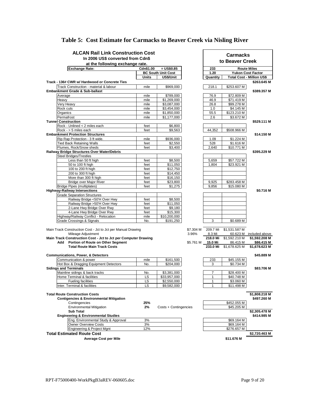| <b>ALCAN Rail Link Construction Cost</b>                                     |              |                           |                   |                |               |                                  |
|------------------------------------------------------------------------------|--------------|---------------------------|-------------------|----------------|---------------|----------------------------------|
| In 2006 US\$ converted from Cdn\$                                            |              | <b>Carmacks</b>           |                   |                |               |                                  |
| at the following exchange rate.                                              |              | to Beaver Creek           |                   |                |               |                                  |
| <b>Exchange Rate:</b><br>Cdn\$1.00<br>$= US$0.85$                            |              |                           |                   | 233            |               | <b>Route Miles</b>               |
|                                                                              |              | <b>BC South Unit Cost</b> |                   | 1.20           |               | <b>Yukon Cost Factor</b>         |
|                                                                              | <b>Units</b> | US\$/Unit                 |                   | Quantity       |               | <b>Total Cost - Million US\$</b> |
| Track - 136# CWR w/ Hardwood or Concrete Ties                                |              |                           |                   |                |               | \$263.645 M                      |
| Track Construction - material & labour                                       | mile         | \$969,000                 |                   | 218.1          | \$253.607 M   |                                  |
| Embankment Grade & Sub-ballast                                               | mile         | \$789,000                 |                   | 76.9           | \$72.809 M    | \$389.357 M                      |
| Average<br>Heavy                                                             | mile         | \$1,269,000               |                   | 46.9           | \$71.419 M    |                                  |
| Very Heavy                                                                   | mile         | \$3,087,000               |                   | 26.8           | \$99.278 M    |                                  |
| Rock cuts                                                                    | mile         | \$3,454,000               |                   | 1.0            | \$4.145 M     |                                  |
| Organics                                                                     | mile         | \$1,850,000               |                   | 55.5           | \$123.210 M   |                                  |
| Permafrost                                                                   | mile         | \$1,177,000               |                   | 2.6            | \$3.672 M     |                                  |
| <b>Tunnel Construction</b>                                                   |              |                           |                   |                |               | \$529.111 M                      |
| Rock - Unlined < 2 miles each                                                | feet         | \$6,800                   |                   |                |               |                                  |
| Rock - > 5 miles each                                                        | feet         | \$9,563                   |                   | 44,352         | \$508.966 M   |                                  |
| <b>Embankment Protection Structures</b>                                      |              |                           |                   |                |               | \$14.150 M                       |
| Rip Rap Protection - 3 ft wide.                                              | mile         | \$936,000                 |                   | 1.09           | \$1.224 M     |                                  |
| <b>Tied Back Retaining Walls</b>                                             | feet         | \$2,550                   |                   | 528            | \$1.616 M     |                                  |
| Flumes, Rock/Snow sheds                                                      | feet         | \$3,400                   |                   | 2,640          | \$10.771 M    |                                  |
| Railway Bridge Structures Over Water/Debris<br><b>Steel Bridges/Trestles</b> |              |                           |                   |                |               | \$395.229 M                      |
| Less than 50 ft high                                                         | feet         | \$8,500                   |                   | 5,659          | \$57.722 M    |                                  |
| 50 to 100 ft high                                                            | feet         | \$11,050                  |                   | 1,804          | \$23.921 M    |                                  |
| 100 to 200 ft high                                                           | feet         | \$12,750                  |                   |                |               |                                  |
| 200 to 300 ft high                                                           | feet         | \$14,450                  |                   |                |               |                                  |
| More than 300 ft high                                                        | feet         | \$16,150                  |                   |                |               |                                  |
| <b>Bridge over Major River</b>                                               | feet         | \$23,800                  |                   | 9,925          | \$283.458 M   |                                  |
| <b>Bridge Pipes (multiplates)</b>                                            | feet         | \$1,275                   |                   | 9,856          | \$15.080 M    |                                  |
| <b>Highway-Railway Intersections</b>                                         |              |                           |                   |                |               | \$0.716 M                        |
| <b>Grade Separation Structures</b>                                           |              |                           |                   |                |               |                                  |
| Railway Bridge <50'H Over Hwy                                                | feet         | \$8,500                   |                   |                |               |                                  |
| Railway Bridge >50'H Over Hwy                                                | feet         | \$11,050                  |                   |                |               |                                  |
| 2-Lane Hwy Bridge Over Rwy                                                   | feet         | \$9,180                   |                   |                |               |                                  |
| 4-Lane Hwy Bridge Over Rwy                                                   | feet         | \$15,300                  |                   |                |               |                                  |
| Highway/Railway Conflict - Relocation                                        | mile         | \$10,200,000              |                   |                |               |                                  |
| Grade Crossings & Signals                                                    | No.          | \$191,250                 |                   | 3              | \$0.689 M     |                                  |
| Main Track Construction Cost - Jct to Jct per Manual Drawing                 |              |                           | \$7.304 M         | 209.7 Mi       | \$1,531.587 M |                                  |
| Mileage Adjustment                                                           |              |                           | 3.96%             | 8.3 Mi         |               | 60.623 M included above          |
| Main Track Construction Cost - Jct to Jct per Computer Drawing               |              |                           |                   | 218.0 Mi       | \$1,592.210 M | \$1,592.208 M                    |
| Add Portion of Route on Other Segment                                        |              |                           | \$5.761 M 15.0 Mi |                | 86.415 M      | \$86.415 M                       |
| <b>Total Route Main Track Costs</b>                                          |              |                           |                   | 233.0 Mi       | \$1,678.625 M | \$1,678.623 M                    |
|                                                                              |              |                           |                   |                |               |                                  |
| <b>Communications, Power, &amp; Detectors</b>                                |              |                           |                   |                |               | \$45.889 M                       |
| Communication & power                                                        | mile         | \$161,500                 |                   | 233            | \$45.155 M    |                                  |
| Hot Box & Dragging Equipment Detectors                                       | No.          | \$204,000                 |                   | 3              | \$0.734 M     |                                  |
| <b>Sidings and Terminals</b>                                                 |              |                           |                   |                |               | \$83.706 M                       |
| Mainline sidings & back tracks                                               | No.          | \$3,381,000               |                   | $\overline{7}$ | \$28.400 M    |                                  |
| Home Terminal & facilities                                                   | <u>LS</u>    | \$33,957,000              |                   | 1              | \$40.748 M    |                                  |
| <b>Fueling facilities</b>                                                    | LS           | \$2,550,000               |                   | 1              | \$3.060 M     |                                  |
| Inter. Terminal & facilities                                                 | LS           | \$9,582,000               |                   | 1              | \$11.498 M    |                                  |
| <b>Total Route Construction Costs</b>                                        |              |                           |                   |                |               | \$1,808.218 M                    |
| <b>Contigencies &amp; Environmental Mitigation</b>                           |              |                           |                   |                |               | \$497.260 M                      |
| Contingencies                                                                | 25%          |                           |                   |                | \$452.055 M   |                                  |
| <b>Environmental Mitigation</b>                                              | 2%           | Costs + Contingencies     |                   |                | \$45.205 M    |                                  |
| <b>Sub Total</b>                                                             |              |                           |                   |                |               | \$2,305.478 M                    |
| <b>Engineering &amp; Environmental Studies</b>                               |              |                           |                   |                |               | \$414.985 M                      |
| Eng. Environmental Study & Approval                                          | 3%           |                           |                   |                | \$69.164 M    |                                  |
| <b>Owner Overview Costs</b>                                                  | 3%           |                           |                   |                | \$69.164 M    |                                  |
| Engineering & Project Mgnt                                                   | 12%          |                           |                   |                | \$276.657 M   |                                  |
| <b>Total Estimated Route Cost</b>                                            |              |                           |                   |                |               | \$2,720.463 M                    |
| Average Cost per Mile                                                        |              |                           |                   |                | \$11.676 M    |                                  |

### **Table 5: Cost Estimate for Carmacks to Beaver Creek via Nisling River**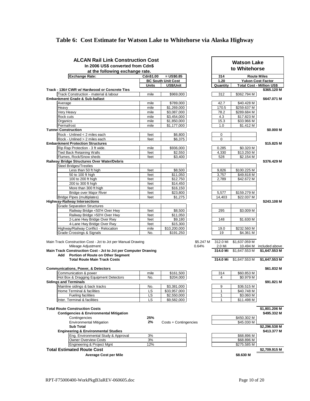#### **Table 6: Cost Estimate for Watson Lake to Whitehorse via Alaska Highway**

| <b>ALCAN Rail Link Construction Cost</b><br>In 2006 US\$ converted from Cdn\$ |              |                           |           |                | <b>Watson Lake</b><br>to Whitehorse |                                  |  |
|-------------------------------------------------------------------------------|--------------|---------------------------|-----------|----------------|-------------------------------------|----------------------------------|--|
| at the following exchange rate.<br><b>Exchange Rate:</b>                      | Cdn\$1.00    | $=$ US\$0.85              |           | 314            |                                     | <b>Route Miles</b>               |  |
|                                                                               |              | <b>BC South Unit Cost</b> |           | 1.20           |                                     | <b>Yukon Cost Factor</b>         |  |
|                                                                               | <b>Units</b> | US\$/Unit                 |           | Quantity       |                                     | <b>Total Cost - Million US\$</b> |  |
| Track - 136# CWR w/ Hardwood or Concrete Ties                                 |              |                           |           |                |                                     | \$365.120 M                      |  |
| Track Construction - material & labour                                        | mile         | \$969,000                 |           | 312            | \$362.794 M                         |                                  |  |
| Embankment Grade & Sub-ballast                                                |              |                           |           |                |                                     | \$647.071 M                      |  |
| Average                                                                       | mile         | \$789,000                 |           | 42.7           | \$40.428 M                          |                                  |  |
| Heavy                                                                         | mile         | \$1,269,000               |           | 170.5          | \$259.637 M                         |                                  |  |
| Very Heavy                                                                    | mile         | \$3,087,000               |           | 78.2           | \$289.684 M                         |                                  |  |
| Rock cuts                                                                     | mile         | \$3,454,000               |           | 4.3            | \$17.823 M                          |                                  |  |
| Organics                                                                      | mile         | \$1,850,000               |           | 15.3           | \$33.966 M                          |                                  |  |
| Permafrost                                                                    | mile         | \$1,177,000               |           | 1.0            | \$1.412 M                           |                                  |  |
| <b>Tunnel Construction</b>                                                    |              |                           |           |                |                                     | \$0.000 M                        |  |
| Rock - Unlined < 2 miles each                                                 | feet         | \$6,800                   |           | 0              |                                     |                                  |  |
| Rock - Unlined > 2 miles each                                                 | feet         | \$6,375                   |           | $\mathbf 0$    |                                     |                                  |  |
| <b>Embankment Protection Structures</b>                                       |              |                           |           |                |                                     | \$15.825 M                       |  |
| Rip Rap Protection - 3 ft wide.                                               | mile         | \$936,000                 |           | 0.285          | \$0.320 M                           |                                  |  |
| <b>Tied Back Retaining Walls</b>                                              | feet         | \$2,550                   |           | 4,330          | \$13.250 M                          |                                  |  |
| Flumes, Rock/Snow sheds                                                       | feet         | \$3,400                   |           | 528            | \$2.154 M                           |                                  |  |
| Railway Bridge Structures Over Water/Debris                                   |              |                           |           |                |                                     | \$376.429 M                      |  |
| <b>Steel Bridges/Trestles</b>                                                 |              |                           |           |                |                                     |                                  |  |
| Less than 50 ft high                                                          | feet         | \$8,500                   |           | 9,826          | \$100.225 M                         |                                  |  |
| 50 to 100 ft high                                                             | feet         | \$11,050                  |           | 3,757          | \$49.818 M                          |                                  |  |
| 100 to 200 ft high                                                            | feet         | \$12,750                  |           | 2,789          | \$42.672 M                          |                                  |  |
| 200 to 300 ft high                                                            | feet         | \$14,450                  |           |                |                                     |                                  |  |
| More than 300 ft high                                                         | feet         | \$16,150                  |           |                |                                     |                                  |  |
| <b>Bridge over Major River</b>                                                | feet         | \$23,800                  |           | 5,577          | \$159.279 M                         |                                  |  |
| <b>Bridge Pipes (multiplates)</b>                                             | feet         | \$1,275                   |           | 14,403         | \$22.037 M                          |                                  |  |
| <b>Highway-Railway Intersections</b>                                          |              |                           |           |                |                                     | \$243.108 M                      |  |
| <b>Grade Separation Structures</b>                                            |              |                           |           |                |                                     |                                  |  |
| Railway Bridge <50'H Over Hwy                                                 | feet         | \$8,500                   |           | 295            | \$3.009 M                           |                                  |  |
| Railway Bridge >50'H Over Hwy                                                 | feet         | \$11,050                  |           |                |                                     |                                  |  |
| 2-Lane Hwy Bridge Over Rwy                                                    | feet         | \$9,180                   |           | 148            | \$1.630 M                           |                                  |  |
| 4-Lane Hwy Bridge Over Rwy                                                    | feet         | \$15,300                  |           |                |                                     |                                  |  |
| Highway/Railway Conflict - Relocation                                         | mile         | \$10,200,000              |           | 19.0           | \$232.560 M                         |                                  |  |
| <b>Grade Crossings &amp; Signals</b>                                          | No.          | \$191,250                 |           | 19             | \$4.361 M                           |                                  |  |
|                                                                               |              |                           |           |                |                                     |                                  |  |
| Main Track Construction Cost - Jct to Jct per Manual Drawing                  |              |                           | \$5.247 M | 312.0 Mi       | \$1,637.059 M                       |                                  |  |
| Mileage Adjustment                                                            |              |                           | 0.64%     | 2.0 Mi         |                                     | 10.494 M included above          |  |
| Main Track Construction Cost - Jct to Jct per Computer Drawing                |              |                           |           | 314.0 Mi       | \$1,647.553 M                       | \$1,647.553 M                    |  |
| Add Portion of Route on Other Segment                                         |              |                           |           |                |                                     |                                  |  |
| <b>Total Route Main Track Costs</b>                                           |              |                           |           | 314.0 Mi       | \$1,647.553 M                       | \$1,647.553 M                    |  |
|                                                                               |              |                           |           |                |                                     |                                  |  |
| <b>Communications, Power, &amp; Detectors</b>                                 |              |                           |           |                |                                     | \$61.832 M                       |  |
| Communication & power                                                         | mile         | \$161,500                 |           | 314            | \$60.853 M                          |                                  |  |
| Hot Box & Dragging Equipment Detectors                                        | No.          | \$204,000                 |           | $\overline{4}$ | \$0.979 M                           |                                  |  |
| <b>Sidings and Terminals</b>                                                  |              |                           |           |                |                                     | \$91.821 M                       |  |
| Mainline sidings & back tracks                                                | No.          | \$3,381,000               |           | 9              | \$36.515 M                          |                                  |  |
| Home Terminal & facilities                                                    | LS           | \$33,957,000              |           | 1              | \$40.748 M                          |                                  |  |
| <b>Fueling facilities</b>                                                     | LS           | \$2,550,000               |           | 1              | \$3.060 M                           |                                  |  |
| Inter. Terminal & facilities                                                  | LS           | \$9,582,000               |           | 1              | \$11.498 M                          |                                  |  |
|                                                                               |              |                           |           |                |                                     |                                  |  |
| <b>Total Route Construction Costs</b>                                         |              |                           |           |                |                                     | \$1,801.206 M                    |  |
| <b>Contigencies &amp; Environmental Mitigation</b>                            |              |                           |           |                |                                     | \$495.332 M                      |  |
| Contingencies                                                                 | 25%          |                           |           |                | \$450.302 M                         |                                  |  |
| <b>Environmental Mitigation</b>                                               | 2%           | Costs + Contingencies     |           |                | \$45.030 M                          |                                  |  |
| <b>Sub Total</b>                                                              |              |                           |           |                |                                     | \$2,296.538 M                    |  |
| <b>Engineering &amp; Environmental Studies</b>                                |              |                           |           |                |                                     | \$413.377 M                      |  |
| Eng. Environmental Study & Approval                                           | 3%           |                           |           |                | \$68.896 M                          |                                  |  |
| Owner Overview Costs                                                          | 3%           |                           |           |                | \$68.896 M                          |                                  |  |
| Engineering & Project Mgnt                                                    | 12%          |                           |           |                | \$275.585 M                         |                                  |  |
| <b>Total Estimated Route Cost</b>                                             |              |                           |           |                |                                     | \$2,709.915 M                    |  |
| <b>Average Cost per Mile</b>                                                  |              |                           |           |                | \$8.630 M                           |                                  |  |

|                | \$13.250 M    | 4,330         |
|----------------|---------------|---------------|
|                | \$2.154 M     | 528           |
| \$376.429 M    |               |               |
|                |               |               |
|                | \$100.225 M   | 9,826         |
|                | \$49.818 M    | 3,757         |
|                | \$42.672 M    | 2 <u>,789</u> |
|                |               |               |
|                | \$159.279 M   | 5,577         |
|                | \$22.037 M    | 4,403         |
| \$243.108 M    |               |               |
|                |               |               |
|                | \$3.009 M     | 295           |
|                |               |               |
|                | \$1.630 M     | 148           |
|                |               |               |
|                | \$232.560 M   | 19.0          |
|                | \$4.361 M     | 19            |
|                |               |               |
|                | \$1,637.059 M | 2.0 Mi        |
| included above | 10.494 M      | 2.0 Mi        |
| \$1,647.553 M  | \$1,647.553 M | 4.0 Mi        |
|                |               |               |
| \$1,647.553 M  | \$1,647.553 M | 4.0 Mi        |
|                |               |               |
| \$61.832 M     |               |               |
|                | \$60.853 M    | 314           |
|                | \$0.979 M     | 4             |
| \$91.821 M     |               |               |
|                | \$36.515 M    | 9<br>1        |
|                | \$40.748 M    | 1             |
|                | \$3.060 M     |               |
|                | \$11.498 M    | 1             |
| \$1,801.206 M  |               |               |
| \$495.332 M    |               |               |
|                | \$450.302 M   |               |
|                |               |               |
|                |               |               |
| \$2,296.538 M  | \$45.030 M    |               |
| \$413.377 M    |               |               |
|                | \$68.896 M    |               |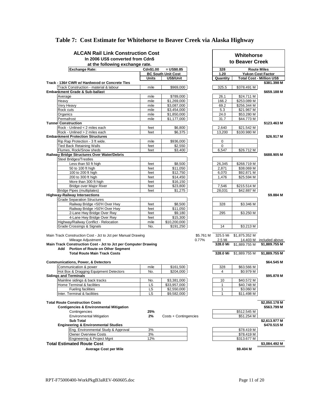|       | <b>ALCAN Rail Link Construction Cost</b>                                                                |                          |                                        |           |                               |               |                                                 |  |
|-------|---------------------------------------------------------------------------------------------------------|--------------------------|----------------------------------------|-----------|-------------------------------|---------------|-------------------------------------------------|--|
|       | In 2006 US\$ converted from Cdn\$                                                                       |                          |                                        |           | Whitehorse<br>to Beaver Creek |               |                                                 |  |
|       | at the following exchange rate.                                                                         |                          |                                        |           |                               |               |                                                 |  |
|       | <b>Exchange Rate:</b>                                                                                   | Cdn\$1.00<br>$= US$0.85$ |                                        |           | <b>Route Miles</b><br>328     |               |                                                 |  |
|       |                                                                                                         |                          | <b>BC South Unit Cost</b><br>US\$/Unit |           | 1.20                          |               | <b>Yukon Cost Factor</b>                        |  |
|       | Track - 136# CWR w/ Hardwood or Concrete Ties                                                           | <b>Units</b>             |                                        |           | Quantity                      |               | <b>Total Cost - Million US\$</b><br>\$381.398 M |  |
|       | Track Construction - material & labour                                                                  | mile                     | \$969,000                              |           | 325.5                         | \$378.491 M   |                                                 |  |
|       | Embankment Grade & Sub-ballast                                                                          |                          |                                        |           |                               |               | \$659.188 M                                     |  |
|       | Average                                                                                                 | mile                     | \$789,000                              |           | 26.1                          | \$24.711 M    |                                                 |  |
| Heavy |                                                                                                         | mile                     | \$1,269,000                            |           | 166.2                         | \$253.089 M   |                                                 |  |
|       | Very Heavy                                                                                              | mile                     | \$3,087,000                            |           | 69.2                          | \$256.344 M   |                                                 |  |
|       | Rock cuts                                                                                               | mile                     | \$3,454,000                            |           | 5.3                           | \$21.967 M    |                                                 |  |
|       | Organics                                                                                                | mile                     | \$1,850,000                            |           | 24.0                          | \$53.280 M    |                                                 |  |
|       | Permafrost<br><b>Tunnel Construction</b>                                                                | mile                     | \$1,177,000                            |           | 31.7                          | \$44.773 M    |                                                 |  |
|       | Rock - Unlined < 2 miles each                                                                           | feet                     | \$6,800                                |           | 2,640                         | \$21.542 M    | \$123.463 M                                     |  |
|       | Rock - Unlined > 2 miles each                                                                           | feet                     | \$6,375                                |           | 13,200                        | \$100.980 M   |                                                 |  |
|       | <b>Embankment Protection Structures</b>                                                                 |                          |                                        |           |                               |               | \$26.917 M                                      |  |
|       | Rip Rap Protection - 3 ft wide.                                                                         | mile                     | \$936,000                              |           | $\mathbf 0$                   |               |                                                 |  |
|       | <b>Tied Back Retaining Walls</b>                                                                        | feet                     | \$2,550                                |           | 0                             |               |                                                 |  |
|       | Flumes, Rock/Snow sheds                                                                                 | feet                     | \$3,400                                |           | 6,547                         | \$26.712 M    |                                                 |  |
|       | Railway Bridge Structures Over Water/Debris                                                             |                          |                                        |           |                               |               | \$688.905 M                                     |  |
|       | <b>Steel Bridges/Trestles</b>                                                                           |                          |                                        |           |                               |               |                                                 |  |
|       | Less than 50 ft high                                                                                    | feet                     | \$8,500                                |           | 26,345                        | \$268.719 M   |                                                 |  |
|       | 50 to 100 ft high                                                                                       | feet                     | \$11,050                               |           | 2,871                         | \$38.069 M    |                                                 |  |
|       | 100 to 200 ft high                                                                                      | feet                     | \$12,750                               |           | 6,070                         | \$92.871 M    |                                                 |  |
|       | 200 to 300 ft high                                                                                      | feet                     | \$14,450                               |           | 1,476                         | \$25.594 M    |                                                 |  |
|       | More than 300 ft high                                                                                   | feet                     | \$16,150<br>\$23,800                   |           |                               | \$215.514 M   |                                                 |  |
|       | Bridge over Major River<br>Bridge Pipes (multiplates)                                                   | feet<br>feet             | \$1,275                                |           | 7,546<br>28,031               | \$42.887 M    |                                                 |  |
|       | <b>Highway-Railway Intersections</b>                                                                    |                          |                                        |           |                               |               | \$9.884 M                                       |  |
|       | <b>Grade Separation Structures</b>                                                                      |                          |                                        |           |                               |               |                                                 |  |
|       | Railway Bridge <50'H Over Hwy                                                                           | feet                     | \$8,500                                |           | 328                           | \$3.346 M     |                                                 |  |
|       | Railway Bridge >50'H Over Hwy                                                                           | feet                     | \$11,050                               |           |                               |               |                                                 |  |
|       | 2-Lane Hwy Bridge Over Rwy                                                                              | feet                     | \$9,180                                |           | 295                           | \$3.250 M     |                                                 |  |
|       | 4-Lane Hwy Bridge Over Rwy                                                                              | feet                     | \$15,300                               |           |                               |               |                                                 |  |
|       | Highway/Railway Conflict - Relocation                                                                   | mile                     | \$10,200,000                           |           |                               |               |                                                 |  |
|       | Grade Crossings & Signals                                                                               | No.                      | \$191,250                              |           | 14                            | \$3.213 M     |                                                 |  |
|       |                                                                                                         |                          |                                        |           |                               |               |                                                 |  |
|       | Main Track Construction Cost - Jct to Jct per Manual Drawing                                            |                          |                                        | \$5.761 M | 325.5 Mi                      | \$1,875.352 M |                                                 |  |
|       | Mileage Adjustment                                                                                      |                          |                                        | 0.77%     | 2.5 Mi<br>328.0 Mi            | \$1,889.755 M | 14.403 M included above                         |  |
|       | Main Track Construction Cost - Jct to Jct per Computer Drawing<br>Add Portion of Route on Other Segment |                          |                                        |           |                               |               | \$1,889.755 M                                   |  |
|       | <b>Total Route Main Track Costs</b>                                                                     |                          |                                        |           | 328.0 Mi                      | \$1,889.755 M | \$1,889.755 M                                   |  |
|       |                                                                                                         |                          |                                        |           |                               |               |                                                 |  |
|       | <b>Communications, Power, &amp; Detectors</b>                                                           |                          |                                        |           |                               |               | \$64.545 M                                      |  |
|       | Communication & power                                                                                   | mile                     | \$161,500                              |           | 328                           | \$63.566 M    |                                                 |  |
|       | Hot Box & Dragging Equipment Detectors                                                                  | No.                      | \$204,000                              |           | $\overline{4}$                | \$0.979 M     |                                                 |  |
|       | <b>Sidings and Terminals</b>                                                                            |                          |                                        |           |                               |               | \$95.878 M                                      |  |
|       | Mainline sidings & back tracks                                                                          | No.                      | \$3,381,000                            |           | 10                            | \$40.572 M    |                                                 |  |
|       | Home Terminal & facilities                                                                              | LS                       | \$33,957,000                           |           | $\mathbf{1}$                  | \$40.748 M    |                                                 |  |
|       | Fueling facilities                                                                                      | LS                       | \$2,550,000                            |           | $\mathbf{1}$                  | \$3.060 M     |                                                 |  |
|       | Inter. Terminal & facilities                                                                            | LS                       | \$9,582,000                            |           | $\mathbf{1}$                  | \$11.498 M    |                                                 |  |
|       | <b>Total Route Construction Costs</b>                                                                   |                          |                                        |           |                               |               | \$2,050.178 M                                   |  |
|       | <b>Contigencies &amp; Environmental Mitigation</b>                                                      |                          |                                        |           |                               |               | \$563.799 M                                     |  |
|       | Contingencies                                                                                           | 25%                      |                                        |           |                               | \$512.545 M   |                                                 |  |
|       | <b>Environmental Mitigation</b>                                                                         | 2%                       | Costs + Contingencies                  |           |                               | \$51.254 M    |                                                 |  |
|       | <b>Sub Total</b>                                                                                        |                          |                                        |           |                               |               | \$2,613.977 M                                   |  |
|       | <b>Engineering &amp; Environmental Studies</b>                                                          |                          |                                        |           |                               |               | \$470.515 M                                     |  |
|       | Eng. Environmental Study & Approval                                                                     | 3%                       |                                        |           |                               | \$78.419 M    |                                                 |  |
|       | <b>Owner Overview Costs</b>                                                                             | 3%                       |                                        |           |                               | \$78.419 M    |                                                 |  |
|       | Engineering & Project Mgnt                                                                              | 12%                      |                                        |           |                               | \$313.677 M   |                                                 |  |
|       | <b>Total Estimated Route Cost</b>                                                                       |                          |                                        |           |                               |               | \$3,084.492 M                                   |  |
|       | <b>Average Cost per Mile</b>                                                                            |                          |                                        |           |                               | \$9.404 M     |                                                 |  |

### **Table 7: Cost Estimate for Whitehorse to Beaver Creek via Alaska Highway**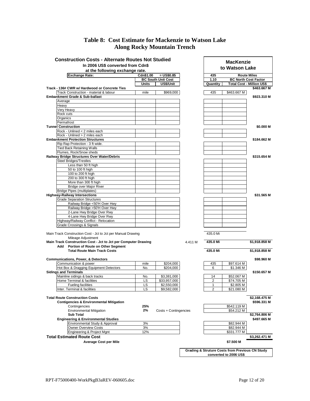#### **Table 8: Cost Estimate for Mackenzie to Watson Lake Along Rocky Mountain Trench**

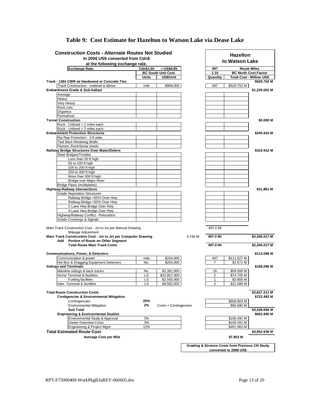| <b>Construction Costs - Alternate Routes Not Studied</b>             |           |                           |                |                | <b>Hazelton</b>                                            |                                  |
|----------------------------------------------------------------------|-----------|---------------------------|----------------|----------------|------------------------------------------------------------|----------------------------------|
| In 2006 US\$ converted from Cdn\$<br>at the following exchange rate. |           |                           | to Watson Lake |                |                                                            |                                  |
| <b>Exchange Rate:</b>                                                | Cdn\$1.00 | $= US$0.85$               |                | 497            |                                                            | <b>Route Miles</b>               |
|                                                                      |           | <b>BC South Unit Cost</b> |                | 1.10           |                                                            | <b>BC North Cost Factor</b>      |
|                                                                      | Units     | US\$/Unit                 |                | Quantity       |                                                            | <b>Total Cost - Million US\$</b> |
| Track - 136# CWR w/ Hardwood or Concrete Ties                        |           |                           |                |                |                                                            | \$529.752 M                      |
| Track Construction - material & labour                               | mile      | \$969,000                 |                | 497            | \$529.752 M                                                |                                  |
| Embankment Grade & Sub-ballast                                       |           |                           |                |                |                                                            | \$1,229.552 M                    |
| Average                                                              |           |                           |                |                |                                                            |                                  |
| Heavy                                                                |           |                           |                |                |                                                            |                                  |
| Very Heavy                                                           |           |                           |                |                |                                                            |                                  |
| Rock cuts                                                            |           |                           |                |                |                                                            |                                  |
| Organics<br>Permafrost                                               |           |                           |                |                |                                                            |                                  |
| <b>Tunnel Construction</b>                                           |           |                           |                |                |                                                            | \$0.000 M                        |
| Rock - Unlined < 2 miles each                                        |           |                           |                |                |                                                            |                                  |
| Rock - Unlined > 2 miles each                                        |           |                           |                |                |                                                            |                                  |
| <b>Embankment Protection Structures</b>                              |           |                           |                |                |                                                            | \$245.910 M                      |
| Rip Rap Protection - 3 ft wide.                                      |           |                           |                |                |                                                            |                                  |
| <b>Tied Back Retaining Walls</b>                                     |           |                           |                |                |                                                            |                                  |
| Flumes, Rock/Snow sheds                                              |           |                           |                |                |                                                            |                                  |
| Railway Bridge Structures Over Water/Debris                          |           |                           |                |                |                                                            | \$318.912 M                      |
| <b>Steel Bridges/Trestles</b>                                        |           |                           |                |                |                                                            |                                  |
| Less than 50 ft high                                                 |           |                           |                |                |                                                            |                                  |
| 50 to 100 ft high                                                    |           |                           |                |                |                                                            |                                  |
| 100 to 200 ft high                                                   |           |                           |                |                |                                                            |                                  |
| 200 to 300 ft high                                                   |           |                           |                |                |                                                            |                                  |
| More than 300 ft high                                                |           |                           |                |                |                                                            |                                  |
| <b>Bridge over Major River</b>                                       |           |                           |                |                |                                                            |                                  |
| Bridge Pipes (multiplates)                                           |           |                           |                |                |                                                            |                                  |
| <b>Highway-Railway Intersections</b>                                 |           |                           |                |                |                                                            | \$31.891 M                       |
| <b>Grade Separation Structures</b>                                   |           |                           |                |                |                                                            |                                  |
| Railway Bridge <50'H Over Hwy                                        |           |                           |                |                |                                                            |                                  |
| Railway Bridge >50'H Over Hwy                                        |           |                           |                |                |                                                            |                                  |
| 2-Lane Hwy Bridge Over Rwy                                           |           |                           |                |                |                                                            |                                  |
| 4-Lane Hwy Bridge Over Rwy                                           |           |                           |                |                |                                                            |                                  |
| Highway/Railway Conflict - Relocation                                |           |                           |                |                |                                                            |                                  |
| Grade Crossings & Signals                                            |           |                           |                |                |                                                            |                                  |
| Main Track Construction Cost - Jct to Jct per Manual Drawing         |           |                           |                | 497.0 Mi       |                                                            |                                  |
| Mileage Adjustment                                                   |           |                           |                |                |                                                            |                                  |
| Main Track Construction Cost - Jct to Jct per Computer Drawing       |           |                           | 4.740 M        | 497.0 Mi       |                                                            | \$2,356.017 M                    |
| Add Portion of Route on Other Segment                                |           |                           |                |                |                                                            |                                  |
| <b>Total Route Main Track Costs</b>                                  |           |                           |                | 497.0 Mi       |                                                            | \$2,356.017 M                    |
|                                                                      |           |                           |                |                |                                                            |                                  |
| <b>Communications, Power, &amp; Detectors</b>                        |           |                           |                |                |                                                            | \$113.098 M                      |
| Communication & power                                                | mile      | \$204,000                 |                | 497            | \$111.527 M                                                |                                  |
| Hot Box & Dragging Equipment Detectors                               | No.       | \$204,000                 |                | $\overline{7}$ | \$1.571 M                                                  |                                  |
| <b>Sidings and Terminals</b>                                         |           |                           |                |                |                                                            | \$158.096 M                      |
| Mainline sidings & back tracks                                       | No.       | \$3,381,000               |                | 16             | \$59.506 M                                                 |                                  |
| Home Terminal & facilities                                           | LS        | \$33,957,000              |                | $\overline{2}$ | \$74.705 M                                                 |                                  |
| <b>Fueling facilities</b>                                            | LS        | \$2,550,000               |                | 1              | \$2.805 M                                                  |                                  |
| Inter. Terminal & facilities                                         | LS        | \$9,582,000               |                | $\overline{2}$ | \$21.080 M                                                 |                                  |
|                                                                      |           |                           |                |                |                                                            |                                  |
| <b>Total Route Construction Costs</b>                                |           |                           |                |                |                                                            | \$2,627.211 M                    |
| <b>Contigencies &amp; Environmental Mitigation</b>                   |           |                           |                |                |                                                            | \$722.483 M                      |
| Contingencies                                                        | 25%       |                           |                |                | \$656.803 M                                                |                                  |
| <b>Environmental Mitigation</b>                                      | 2%        | Costs + Contingencies     |                |                | \$65.680 M                                                 |                                  |
| <b>Sub Total</b>                                                     |           |                           |                |                |                                                            | \$3,349.694 M                    |
| <b>Engineering &amp; Environmental Studies</b>                       |           |                           |                |                |                                                            | \$602.945 M                      |
| Environmental Study & Approval                                       | 3%        |                           |                |                | \$100.491 M                                                |                                  |
| <b>Owner Overview Costs</b>                                          | 3%        |                           |                |                | \$100.491 M                                                |                                  |
| Engineering & Project Mgnt                                           | 12%       |                           |                |                | \$401.963 M                                                |                                  |
| <b>Total Estimated Route Cost</b>                                    |           |                           |                |                |                                                            | \$3,952.639 M                    |
| <b>Average Cost per Mile</b>                                         |           |                           |                |                | \$7.953 M                                                  |                                  |
|                                                                      |           |                           |                |                |                                                            |                                  |
|                                                                      |           |                           |                |                | <b>Grading &amp; Struture Costs from Previous CN Study</b> |                                  |
|                                                                      |           |                           |                |                | converted to 2006 US\$                                     |                                  |

#### **Table 9: Cost Estimate for Hazelton to Watson Lake via Dease Lake**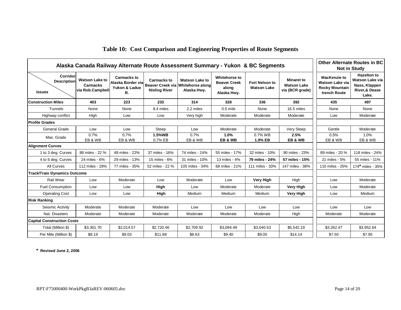| Alaska Canada Railway Alternate Route Assessment Summary - Yukon & BC Segments |                                                              | <b>Other Alternate Routes in BC</b><br><b>Not in Study</b> |                                            |                                                                                             |                                                              |                                             |                                                            |                                                                                        |                                                                                             |
|--------------------------------------------------------------------------------|--------------------------------------------------------------|------------------------------------------------------------|--------------------------------------------|---------------------------------------------------------------------------------------------|--------------------------------------------------------------|---------------------------------------------|------------------------------------------------------------|----------------------------------------------------------------------------------------|---------------------------------------------------------------------------------------------|
| Corridor<br><b>Description</b><br><b>Issues</b>                                | <b>Watson Lake to</b><br><b>Carmacks</b><br>via Rob.Campbell | <b>Carmacks to</b><br>R.                                   | <b>Carmacks to</b><br><b>Nisling River</b> | <b>Watson Lake to</b><br>Alaska Border via Beaver Creek via Whitehorse along<br>Alaska Hwy. | Whitehorse to<br><b>Beaver Creek</b><br>along<br>Alaska Hwy. | <b>Fort Nelson to</b><br><b>Watson Lake</b> | <b>Minaret to</b><br><b>Watson Lake</b><br>via (BCR grade) | <b>MacKenzie to</b><br><b>Watson Lake via</b><br><b>Rocky Mountain</b><br>trench Route | <b>Hazelton to</b><br>Watson Lake via<br>Nass, Klappen<br><b>River,&amp; Dease</b><br>Lake. |
| lConstruction Miles                                                            | 403                                                          | 223                                                        | 233                                        | 314                                                                                         | 328                                                          | 336                                         | 392                                                        | 435                                                                                    | 497                                                                                         |
| <b>Tunnels</b>                                                                 | None                                                         | None                                                       | 8.4 miles                                  | 2.2 miles                                                                                   | $0.5$ mile                                                   | None                                        | 16.5 miles                                                 | None                                                                                   | None                                                                                        |
| Highway conflict                                                               | High                                                         | Low                                                        | Low                                        | Very high                                                                                   | Moderate                                                     | Moderate                                    | Moderate                                                   | Low                                                                                    | Moderate                                                                                    |
| <b>Profile Grades</b>                                                          |                                                              |                                                            |                                            |                                                                                             |                                                              |                                             |                                                            |                                                                                        |                                                                                             |
| <b>General Grade</b>                                                           | Low                                                          | Low                                                        | Steep                                      | Low                                                                                         | Moderate                                                     | Moderate                                    | Very Steep                                                 | Gentle                                                                                 | Moderate                                                                                    |
| Max. Grade                                                                     | 0.7%<br>EB & WB                                              | 0.7%<br>EB & WB                                            | 1.5%WB<br>0.7% EB                          | 0.7%<br>EB & WB                                                                             | 1.0%<br>EB & WB                                              | 0.7% WB<br>1.0% EB                          | 2.5%<br>EB & WB                                            | 0.5%<br>EB & WB                                                                        | 1.0%<br>EB & WB                                                                             |
| <b>Alignment Curves</b>                                                        |                                                              |                                                            |                                            |                                                                                             |                                                              |                                             |                                                            |                                                                                        |                                                                                             |
| 1 to 3 deg. Curves                                                             | 88 miles - 22 %                                              | 48 miles - 22%                                             | 37 miles - 16%                             | 74 miles - 24%                                                                              | 55 miles - 17%                                               | 32 miles - 10%                              | 90 miles - 23%                                             | 89 miles - 20 %                                                                        | 118 miles - 24%                                                                             |
| 4 to 6 deg. Curves                                                             | 24 miles - 6%                                                | 29 miles - 13%                                             | 15 miles - 6%                              | 31 miles - 10%                                                                              | 13 miles - 4%                                                | 79 miles - 24%                              | 57 miles - 15%                                             | 21 miles - 5%                                                                          | 55 miles - 11%                                                                              |
| All Curves                                                                     | 112 miles - 28%                                              | 77 miles - 35%                                             | 52 miles - 22 %                            | 105 miles - 34%                                                                             | 68 miles - 21%                                               | 111 miles - 33%                             | 147 miles - 38%                                            | 110 miles - 25%                                                                        | 174* miles - 35%                                                                            |
| <b>Track/Train Dynamics Outcome</b>                                            |                                                              |                                                            |                                            |                                                                                             |                                                              |                                             |                                                            |                                                                                        |                                                                                             |
| Rail Wear                                                                      | Low                                                          | Moderate                                                   | Low                                        | Moderate                                                                                    | Low                                                          | <b>Very High</b>                            | High                                                       | Low                                                                                    | Moderate                                                                                    |
| <b>Fuel Consumption</b>                                                        | Low                                                          | Low                                                        | High                                       | Low                                                                                         | Moderate                                                     | Moderate                                    | Very High                                                  | Low                                                                                    | Moderate                                                                                    |
| <b>Operating Cost</b>                                                          | Low                                                          | Low                                                        | High                                       | Medium                                                                                      | Medium                                                       | Medium                                      | <b>Very High</b>                                           | Low                                                                                    | Medium                                                                                      |
| <b>Risk Ranking</b>                                                            |                                                              |                                                            |                                            |                                                                                             |                                                              |                                             |                                                            |                                                                                        |                                                                                             |
| Seismic Activity                                                               | Moderate                                                     | Moderate                                                   | Moderate                                   | Low                                                                                         | Low                                                          | Low                                         | Low                                                        | Low                                                                                    | Low                                                                                         |
| Nat. Disasters                                                                 | Moderate                                                     | Moderate                                                   | Moderate                                   | Moderate                                                                                    | Moderate                                                     | Moderate                                    | High                                                       | Moderate                                                                               | Moderate                                                                                    |
| <b>Capital Construction Costs</b>                                              |                                                              |                                                            |                                            |                                                                                             |                                                              |                                             |                                                            |                                                                                        |                                                                                             |
| Total (Million \$)                                                             | \$3,301.70                                                   | \$2,014.57                                                 | \$2,720.46                                 | \$2,709.92                                                                                  | \$3,084.49                                                   | \$3,040.53                                  | \$5,542.19                                                 | \$3,262.47                                                                             | \$3,952.64                                                                                  |
| Per Mile (Million \$)                                                          | \$8.19                                                       | \$9.03                                                     | \$11.68                                    | \$8.63                                                                                      | \$9.40                                                       | \$9.05                                      | \$14.14                                                    | \$7.50                                                                                 | \$7.95                                                                                      |

### **Table 10: Cost Comparison and Engineering Properties of Route Segments**

**\* Revised June 2, 2006**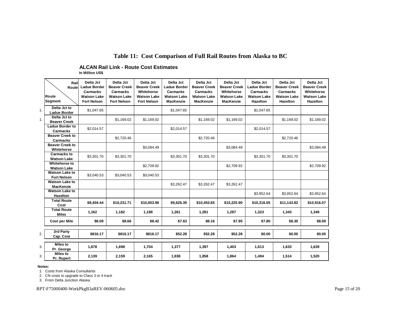#### **Table 11: Cost Comparison of Full Rail Routes from Alaska to BC**

**ALCAN Rail Link - Route Cost Estimates**

**In Million US\$**

|    | Route<br>Segment                            | Rail<br>Routel | Delta Jct<br><b>Ladue Border</b><br>Carmacks<br><b>Watson Lake</b><br><b>Fort Nelson</b> | Delta Jct<br><b>Beaver Creek</b><br><b>Carmacks</b><br><b>Watson Lake</b><br><b>Fort Nelson</b> | Delta Jct<br><b>Beaver Creek</b><br>Whitehorse<br><b>Watson Lake</b><br><b>Fort Nelson</b> | Delta Jct<br><b>Ladue Border</b><br><b>Carmacks</b><br><b>Watson Lake</b><br><b>MacKenzie</b> | Delta Jct<br><b>Beaver Creek</b><br><b>Carmacks</b><br><b>Watson Lake</b><br><b>MacKenzie</b> | Delta Jct<br><b>Beaver Creek</b><br>Whitehorse<br><b>Watson Lake</b><br><b>MacKenzie</b> | Delta Jct<br><b>Ladue Border</b><br>Carmacks<br><b>Watson Lake</b><br><b>Hazelton</b> | Delta Jct<br><b>Beaver Creek</b><br>Carmacks<br><b>Watson Lake</b><br><b>Hazelton</b> | Delta Jct<br><b>Beaver Creek</b><br>Whitehorse<br><b>Watson Lake</b><br><b>Hazelton</b> |
|----|---------------------------------------------|----------------|------------------------------------------------------------------------------------------|-------------------------------------------------------------------------------------------------|--------------------------------------------------------------------------------------------|-----------------------------------------------------------------------------------------------|-----------------------------------------------------------------------------------------------|------------------------------------------------------------------------------------------|---------------------------------------------------------------------------------------|---------------------------------------------------------------------------------------|-----------------------------------------------------------------------------------------|
| 1. | Delta Jct to<br><b>Ladue Border</b>         |                | \$1,047.65                                                                               |                                                                                                 |                                                                                            | \$1,047.65                                                                                    |                                                                                               |                                                                                          | \$1,047.65                                                                            |                                                                                       |                                                                                         |
| 1. | Delta Jct to<br><b>Beaver Creek</b>         |                |                                                                                          | \$1,169.02                                                                                      | \$1,169.02                                                                                 |                                                                                               | \$1,169.02                                                                                    | \$1,169.02                                                                               |                                                                                       | \$1,169.02                                                                            | \$1,169.02                                                                              |
|    | <b>Ladue Border to</b><br><b>Carmacks</b>   |                | \$2,014.57                                                                               |                                                                                                 |                                                                                            | \$2,014.57                                                                                    |                                                                                               |                                                                                          | \$2,014.57                                                                            |                                                                                       |                                                                                         |
|    | <b>Beaver Creek to</b><br><b>Carmacks</b>   |                |                                                                                          | \$2,720.46                                                                                      |                                                                                            |                                                                                               | \$2,720.46                                                                                    |                                                                                          |                                                                                       | \$2,720.46                                                                            |                                                                                         |
|    | <b>Beaver Creek to</b><br>Whitehorse        |                |                                                                                          |                                                                                                 | \$3.084.49                                                                                 |                                                                                               |                                                                                               | \$3.084.49                                                                               |                                                                                       |                                                                                       | \$3,084.49                                                                              |
|    | <b>Carmacks to</b><br><b>Watson Lake</b>    |                | \$3,301.70                                                                               | \$3,301.70                                                                                      |                                                                                            | \$3,301.70                                                                                    | \$3,301.70                                                                                    |                                                                                          | \$3,301.70                                                                            | \$3,301.70                                                                            |                                                                                         |
|    | Whitehorse to<br><b>Watson Lake</b>         |                |                                                                                          |                                                                                                 | \$2,709.92                                                                                 |                                                                                               |                                                                                               | \$2,709.92                                                                               |                                                                                       |                                                                                       | \$2,709.92                                                                              |
|    | <b>Watson Lake to</b><br><b>Fort Nelson</b> |                | \$3,040.53                                                                               | \$3,040.53                                                                                      | \$3,040.53                                                                                 |                                                                                               |                                                                                               |                                                                                          |                                                                                       |                                                                                       |                                                                                         |
|    | <b>Watson Lake to</b><br><b>MacKenzie</b>   |                |                                                                                          |                                                                                                 |                                                                                            | \$3,262.47                                                                                    | \$3,262.47                                                                                    | \$3,262.47                                                                               |                                                                                       |                                                                                       |                                                                                         |
|    | <b>Watson Lake to</b><br><b>Hazelton</b>    |                |                                                                                          |                                                                                                 |                                                                                            |                                                                                               |                                                                                               |                                                                                          | \$3,952.64                                                                            | \$3,952.64                                                                            | \$3,952.64                                                                              |
|    | <b>Total Route</b><br>Cost                  |                | \$9,404.44                                                                               | \$10,231.71                                                                                     | \$10.003.96                                                                                | \$9.626.39                                                                                    | \$10.453.65                                                                                   | \$10.225.90                                                                              | \$10.316.55                                                                           | \$11.143.82                                                                           | \$10.916.07                                                                             |
|    | <b>Total Route</b><br><b>Miles</b>          |                | 1,162                                                                                    | 1,182                                                                                           | 1,188                                                                                      | 1,261                                                                                         | 1,281                                                                                         | 1,287                                                                                    | 1,323                                                                                 | 1,343                                                                                 | 1,349                                                                                   |
|    | <b>Cost per Mile</b>                        |                | \$8.09                                                                                   | \$8.66                                                                                          | \$8.42                                                                                     | \$7.63                                                                                        | \$8.16                                                                                        | \$7.95                                                                                   | \$7.80                                                                                | \$8.30                                                                                | \$8.09                                                                                  |
| 2. | 3rd Party<br>Cap. Cost                      |                | \$816.17                                                                                 | \$816.17                                                                                        | \$816.17                                                                                   | \$52.28                                                                                       | \$52.28                                                                                       | \$52.28                                                                                  | \$0.00                                                                                | \$0.00                                                                                | \$0.00                                                                                  |
| 3. | <b>Miles to</b><br>Pr. George               |                | 1.678                                                                                    | 1,698                                                                                           | 1,704                                                                                      | 1,377                                                                                         | 1,397                                                                                         | 1,403                                                                                    | 1,613                                                                                 | 1.633                                                                                 | 1,639                                                                                   |
| 3. | <b>Miles to</b><br>Pr. Rupert               |                | 2,139                                                                                    | 2,159                                                                                           | 2,165                                                                                      | 1,838                                                                                         | 1,858                                                                                         | 1,864                                                                                    | 1,494                                                                                 | 1,514                                                                                 | 1,520                                                                                   |

**Notes:**

1. Costs from Alaska Consultants

2. CN costs to upgrade to Class 3 or 4 track

3. From Delta Junction Alaska

RPT-F75000400-WorkPkgB3aREV-060605.doc Page 15 of 20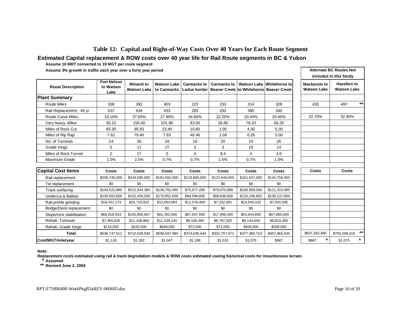#### **Table 12: Capital and Right-of-Way Costs Over 40 Years for Each Route Segment**

#### **Estimated Capital replacement & ROW costs over 40 year life for Rail Route segments in BC & Yukon**

**Assume 10 MRT converted to 19 MGT per route segment**

**Assume 3% growth in traffic each year over a forty year period**

|                          |                                         |                                  |                            |                                    |             |        | <b>INVIGUED IN THE OWNER</b>                                                |                                    |                                          |  |
|--------------------------|-----------------------------------------|----------------------------------|----------------------------|------------------------------------|-------------|--------|-----------------------------------------------------------------------------|------------------------------------|------------------------------------------|--|
| <b>Route Description</b> | <b>Fort Nelson</b><br>to Watson<br>Lake | <b>Minaret to</b><br>Watson Lake | Watson Lake<br>to Carmacks | <b>Carmacks to</b><br>Ladue border | Carmacks to |        | Watson Lake Whitehorse tol<br>∣ Beaver Creek ∣to Whitehorse∣ Beaver Creek I | Mackenzie to<br><b>Watson Lake</b> | <b>Hazelton to</b><br><b>Watson Lake</b> |  |
| Plant Summary            |                                         |                                  |                            |                                    |             |        |                                                                             |                                    |                                          |  |
| Route Miles              | 336                                     | 392                              | 403                        | 223                                | 233         | 314    | 328                                                                         | 435                                | $***$<br>497                             |  |
| Rail Replacement - 40 yr | 537                                     | 634                              | 433                        | 283                                | 292         | 385    | 340                                                                         |                                    |                                          |  |
| <b>Route Curve Miles</b> | 33.10%                                  | 37.60%                           | 27.90%                     | 34.60%                             | 22.20%      | 33.40% | 20.60%                                                                      | 22.70%                             | 32.40%                                   |  |
| Very heavy -Miles        | 50.10                                   | 150.40                           | 101.80                     | 83.00                              | 26.80       | 78.20  | 69.20                                                                       |                                    |                                          |  |
| Miles of Rock Cut        | 65.30                                   | 95.50                            | 23.40                      | 10.60                              | 1.00        | 4.30   | 5.30                                                                        |                                    |                                          |  |
| Miles of Rip Rap         | 7.62                                    | 79.40                            | 7.65                       | 48.46                              | 1.09        | 0.28   | 0.00                                                                        |                                    |                                          |  |
| No. of Turnouts          | 24                                      | 36                               | 34                         | 18                                 | 20          | 24     | 26                                                                          |                                    |                                          |  |
| Grade Xings              | 5                                       | 11                               | 27                         | 3                                  | 3           | 19     | 14                                                                          |                                    |                                          |  |
| Miles of Rock Tunnel     | $\mathfrak{p}$                          | 17                               | $\Omega$                   | 0                                  | 8.4         | 0      | 3.0                                                                         |                                    |                                          |  |
| Maximum Grade            | 1.0%                                    | 2.5%                             | 0.7%                       | 0.7%                               | $1.5\%$     | 0.7%   | 1.0%                                                                        |                                    |                                          |  |

| <b>Alternate BC Routes Not</b><br>included in this Study |                                          |  |  |  |  |  |  |  |
|----------------------------------------------------------|------------------------------------------|--|--|--|--|--|--|--|
| Mackenzie to<br><b>Watson Lake</b>                       | <b>Hazelton to</b><br><b>Watson Lake</b> |  |  |  |  |  |  |  |
|                                                          |                                          |  |  |  |  |  |  |  |
| 435                                                      | $\star\star$<br>497                      |  |  |  |  |  |  |  |
| 22.70%                                                   | 32.40%                                   |  |  |  |  |  |  |  |
|                                                          |                                          |  |  |  |  |  |  |  |
|                                                          |                                          |  |  |  |  |  |  |  |
|                                                          |                                          |  |  |  |  |  |  |  |
|                                                          |                                          |  |  |  |  |  |  |  |
|                                                          |                                          |  |  |  |  |  |  |  |
|                                                          |                                          |  |  |  |  |  |  |  |
| Costs                                                    | Costs                                    |  |  |  |  |  |  |  |
|                                                          |                                          |  |  |  |  |  |  |  |
|                                                          |                                          |  |  |  |  |  |  |  |

| <b>Capital Cost Items</b>     | Costs         | Costs         | <b>Costs</b>  | Costs         | Costs         | <b>Costs</b>  | Costs         | <b>Costs</b>  | Costs         |      |
|-------------------------------|---------------|---------------|---------------|---------------|---------------|---------------|---------------|---------------|---------------|------|
| Rail replacement              | \$206.745.000 | \$244,090,000 | \$181,692,000 | \$118,860,000 | \$122,640,000 | \$161,637,000 | \$142,758,000 |               |               |      |
| Tie replacement               | \$0           | \$0           | \$0           | \$0           | \$0           | \$0           | \$0           |               |               |      |
| Track surfacing               | \$104,522,880 | \$121,943,360 | \$136,762,080 | \$75,677,280  | \$79,070,880  | \$106,559,040 | \$111,310,080 |               |               |      |
| <b>Undercut &amp; Ballast</b> | \$130,653,600 | \$152,429,200 | \$170,952,600 | \$94,596,600  | \$98,838,600  | \$133,198,800 | \$139,137,600 |               |               |      |
| Rail profile grinding         | \$18,431,179  | \$24,718,832  | \$13,653,064  | \$11.076.484  | \$7,332,891   | \$14,540,433  | \$7,920,595   |               |               |      |
| Bridge/Deck replacement       | \$0           | \$0           | \$0           | \$0           | \$0           | \$0           | \$0           |               |               |      |
| Slope/rock stabilisation      | \$68,818,933  | \$155,906,667 | \$81,352,000  | \$67,657,600  | \$17,966,400  | \$52,844,800  | \$47,680,000  |               |               |      |
| Rehab. Turnouts               | \$7,465,920   | \$11,198,880  | \$11,538,240  | \$6,108,480   | \$6,787,200   | \$8,144,640   | \$8,823,360   |               |               |      |
| Rehab. Grade Xings            | \$110,000     | \$242,000     | \$648,000     | \$72,000      | \$72,000      | \$456,000     | \$336,000     |               |               |      |
| Total                         | \$536,747,512 | \$710,528,938 | \$596,597,984 | \$374,048,444 | \$332,707,971 | \$477,380,713 | \$457,965,635 | \$607,362,960 | \$755,599,410 | $**$ |
| Cost/MGT/mile/year            | \$1,130       | \$1,282       | \$1,047       | \$1,186       | \$1,010       | \$1,075       | \$987         | \$987         | \$1,075       |      |

#### **Note:**

**Replacement costs estimated using rail & track degredation models & ROW costs estimated useing historical costs for mountionous terrain.**

**\* Assumed**

**\*\* Revised June 2, 2006**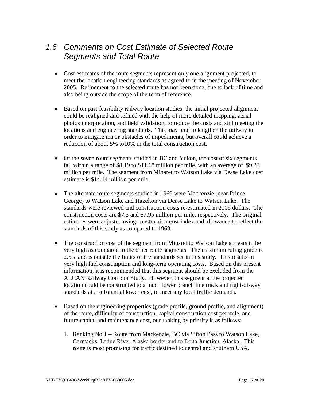## *1.6 Comments on Cost Estimate of Selected Route Segments and Total Route*

- Cost estimates of the route segments represent only one alignment projected, to meet the location engineering standards as agreed to in the meeting of November 2005. Refinement to the selected route has not been done, due to lack of time and also being outside the scope of the term of reference.
- $\bullet$  Based on past feasibility railway location studies, the initial projected alignment could be realigned and refined with the help of more detailed mapping, aerial photos interpretation, and field validation, to reduce the costs and still meeting the locations and engineering standards. This may tend to lengthen the railway in order to mitigate major obstacles of impediments, but overall could achieve a reduction of about 5% to10% in the total construction cost.
- Of the seven route segments studied in BC and Yukon, the cost of six segments fall within a range of \$8.19 to \$11.68 million per mile, with an average of \$9.33 million per mile. The segment from Minaret to Watson Lake via Dease Lake cost estimate is \$14.14 million per mile.
- The alternate route segments studied in 1969 were Mackenzie (near Prince George) to Watson Lake and Hazelton via Dease Lake to Watson Lake. The standards were reviewed and construction costs re-estimated in 2006 dollars. The construction costs are \$7.5 and \$7.95 million per mile, respectively. The original estimates were adjusted using construction cost index and allowance to reflect the standards of this study as compared to 1969.
- The construction cost of the segment from Minaret to Watson Lake appears to be very high as compared to the other route segments. The maximum ruling grade is 2.5% and is outside the limits of the standards set in this study. This results in very high fuel consumption and long-term operating costs. Based on this present information, it is recommended that this segment should be excluded from the ALCAN Railway Corridor Study. However, this segment at the projected location could be constructed to a much lower branch line track and right-of-way standards at a substantial lower cost, to meet any local traffic demands.
- Based on the engineering properties (grade profile, ground profile, and alignment) of the route, difficulty of construction, capital construction cost per mile, and future capital and maintenance cost, our ranking by priority is as follows:
	- 1. Ranking No.1 Route from Mackenzie, BC via Sifton Pass to Watson Lake, Carmacks, Ladue River Alaska border and to Delta Junction, Alaska. This route is most promising for traffic destined to central and southern USA.